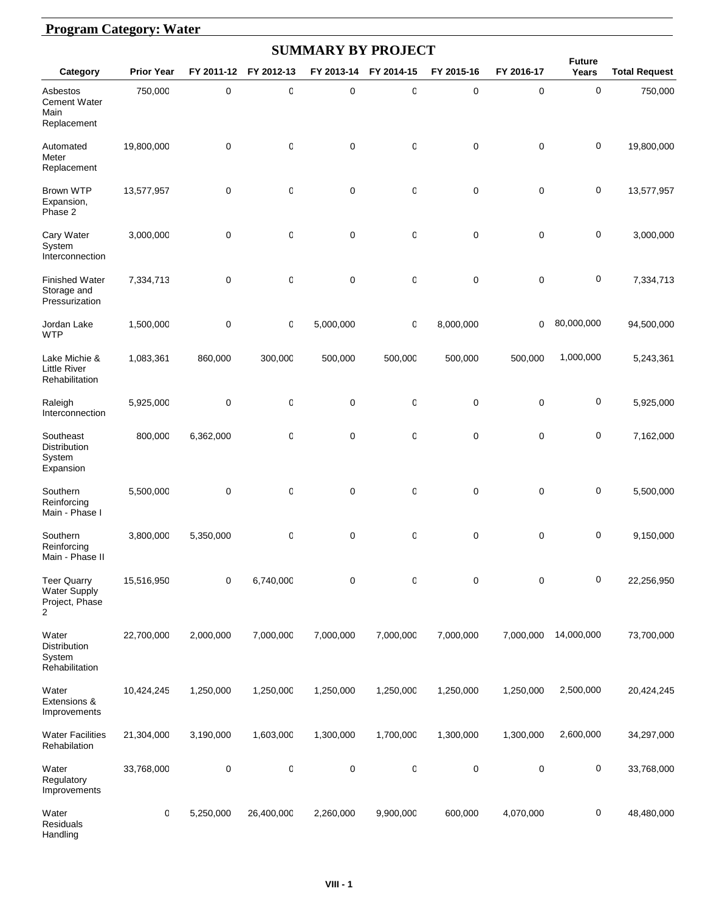# **Program Category: Water**

| <b>SUMMARY BY PROJECT</b>                                        |                   |             |              |             |            |            |             |                        |                      |  |  |
|------------------------------------------------------------------|-------------------|-------------|--------------|-------------|------------|------------|-------------|------------------------|----------------------|--|--|
| Category                                                         | <b>Prior Year</b> | FY 2011-12  | FY 2012-13   | FY 2013-14  | FY 2014-15 | FY 2015-16 | FY 2016-17  | <b>Future</b><br>Years | <b>Total Request</b> |  |  |
| Asbestos<br>Cement Water<br>Main<br>Replacement                  | 750,000           | 0           | $\mathbf 0$  | 0           | 0          | 0          | 0           | $\pmb{0}$              | 750,000              |  |  |
| Automated<br>Meter<br>Replacement                                | 19,800,000        | 0           | 0            | 0           | 0          | 0          | 0           | 0                      | 19,800,000           |  |  |
| <b>Brown WTP</b><br>Expansion,<br>Phase 2                        | 13,577,957        | 0           | 0            | 0           | 0          | 0          | 0           | $\pmb{0}$              | 13,577,957           |  |  |
| Cary Water<br>System<br>Interconnection                          | 3,000,000         | $\mathbf 0$ | 0            | $\mathbf 0$ | 0          | 0          | 0           | $\pmb{0}$              | 3,000,000            |  |  |
| <b>Finished Water</b><br>Storage and<br>Pressurization           | 7,334,713         | 0           | 0            | $\mathbf 0$ | 0          | 0          | $\mathbf 0$ | 0                      | 7,334,713            |  |  |
| Jordan Lake<br><b>WTP</b>                                        | 1,500,000         | 0           | 0            | 5,000,000   | 0          | 8,000,000  | 0           | 80,000,000             | 94,500,000           |  |  |
| Lake Michie &<br><b>Little River</b><br>Rehabilitation           | 1,083,361         | 860,000     | 300,000      | 500,000     | 500,000    | 500,000    | 500,000     | 1,000,000              | 5,243,361            |  |  |
| Raleigh<br>Interconnection                                       | 5,925,000         | $\mathbf 0$ | $\mathbb{C}$ | 0           | 0          | 0          | 0           | 0                      | 5,925,000            |  |  |
| Southeast<br>Distribution<br>System<br>Expansion                 | 800,000           | 6,362,000   | 0            | 0           | 0          | 0          | 0           | 0                      | 7,162,000            |  |  |
| Southern<br>Reinforcing<br>Main - Phase I                        | 5,500,000         | 0           | $\mathbf 0$  | 0           | 0          | 0          | 0           | 0                      | 5,500,000            |  |  |
| Southern<br>Reinforcing<br>Main - Phase II                       | 3,800,000         | 5,350,000   | 0            | 0           | 0          | 0          | 0           | $\pmb{0}$              | 9,150,000            |  |  |
| <b>Teer Quarry</b><br><b>Water Supply</b><br>Project, Phase<br>2 | 15,516,950        | 0           | 6,740,000    | 0           | 0          | 0          | 0           | 0                      | 22,256,950           |  |  |
| Water<br>Distribution<br>System<br>Rehabilitation                | 22,700,000        | 2,000,000   | 7,000,000    | 7,000,000   | 7,000,000  | 7,000,000  | 7,000,000   | 14,000,000             | 73,700,000           |  |  |
| Water<br>Extensions &<br>Improvements                            | 10,424,245        | 1,250,000   | 1,250,000    | 1,250,000   | 1,250,000  | 1,250,000  | 1,250,000   | 2,500,000              | 20,424,245           |  |  |
| <b>Water Facilities</b><br>Rehabilation                          | 21,304,000        | 3,190,000   | 1,603,000    | 1,300,000   | 1,700,000  | 1,300,000  | 1,300,000   | 2,600,000              | 34,297,000           |  |  |
| Water<br>Regulatory<br>Improvements                              | 33,768,000        | 0           | $\mathbf 0$  | 0           | 0          | 0          | 0           | $\pmb{0}$              | 33,768,000           |  |  |
| Water<br>Residuals<br>Handling                                   | 0                 | 5,250,000   | 26,400,000   | 2,260,000   | 9,900,000  | 600,000    | 4,070,000   | 0                      | 48,480,000           |  |  |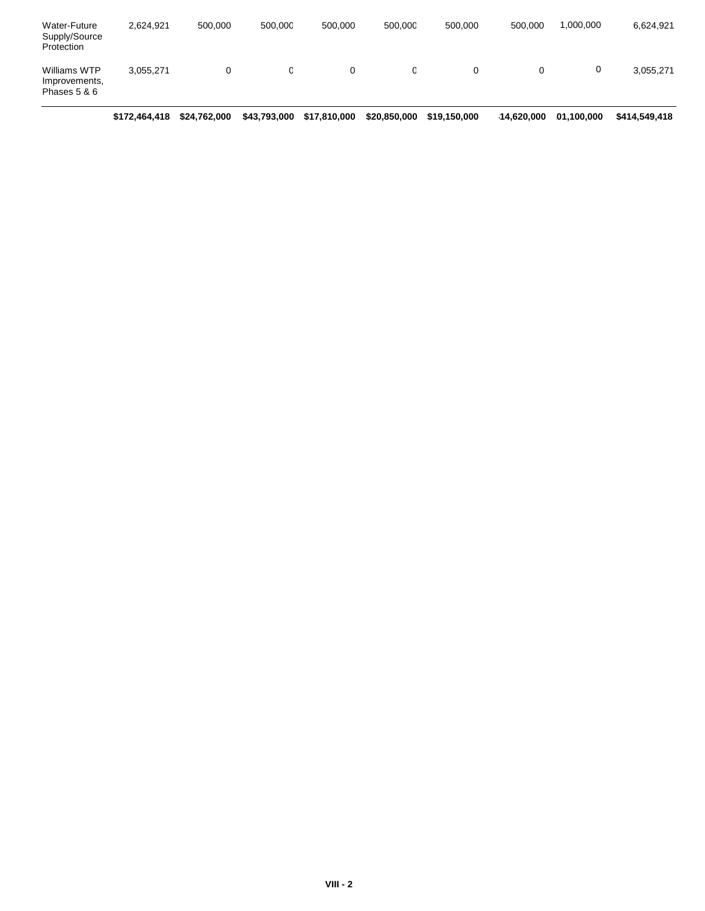| Water-Future<br>Supply/Source<br>Protection   | 2.624.921 | 500.000 | 500.000 | 500.000 | 500.000 | 500.000 | 500,000 | 1,000,000 | 6,624,921 |
|-----------------------------------------------|-----------|---------|---------|---------|---------|---------|---------|-----------|-----------|
| Williams WTP<br>Improvements,<br>Phases 5 & 6 | 3,055,271 |         |         |         |         | 0       |         | 0         | 3,055,271 |

**\$172,464,418 \$24,762,000 \$43,793,000 \$17,810,000 \$20,850,000 \$19,150,000 \$14,620,000\$101,100,000 \$414,549,418**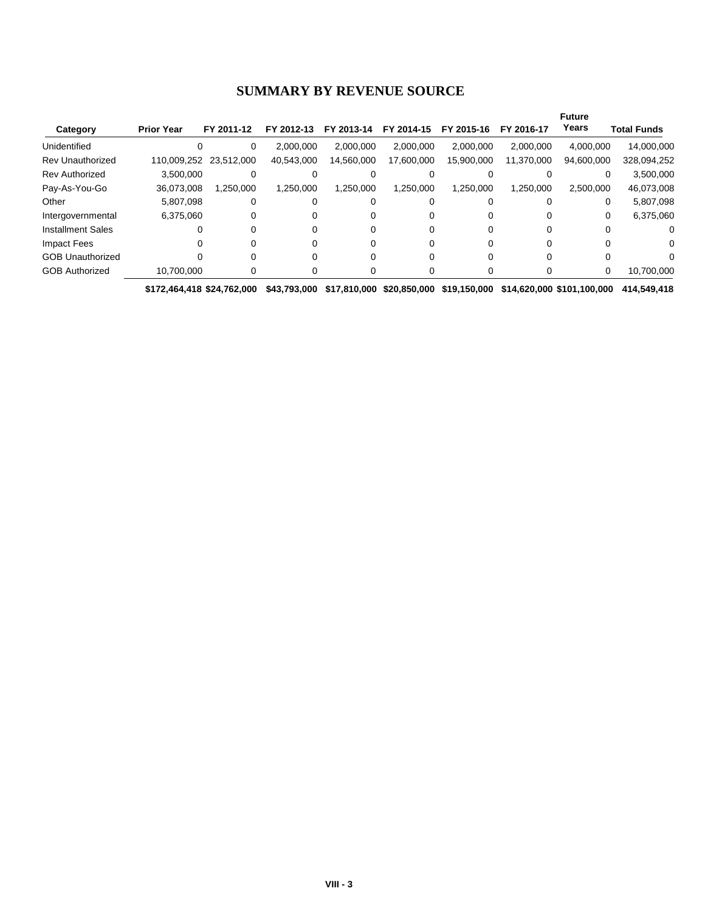#### **SUMMARY BY REVENUE SOURCE**

|                          |                   |                        |            |            |            |            |            | <b>Future</b> |             |
|--------------------------|-------------------|------------------------|------------|------------|------------|------------|------------|---------------|-------------|
| Category                 | <b>Prior Year</b> | FY 2011-12             | FY 2012-13 | FY 2013-14 | FY 2014-15 | FY 2015-16 | FY 2016-17 | Years         | Total Funds |
| Unidentified             |                   | 0                      | 2,000,000  | 2.000.000  | 2.000.000  | 2.000.000  | 2,000,000  | 4,000,000     | 14,000,000  |
| <b>Rev Unauthorized</b>  |                   | 110,009,252 23,512,000 | 40,543,000 | 14,560,000 | 17,600,000 | 15,900,000 | 11,370,000 | 94,600,000    | 328,094,252 |
| <b>Rev Authorized</b>    | 3,500,000         |                        |            |            |            |            |            |               | 3,500,000   |
| Pay-As-You-Go            | 36,073,008        | 1,250,000              | 1,250,000  | 1.250.000  | 1.250.000  | 1,250,000  | 1,250,000  | 2,500,000     | 46,073,008  |
| Other                    | 5.807.098         |                        |            |            |            |            |            | 0             | 5,807,098   |
| Intergovernmental        | 6,375,060         |                        |            |            |            | 0          |            | 0             | 6,375,060   |
| <b>Installment Sales</b> | $\Omega$          |                        |            |            |            | 0          |            |               |             |
| Impact Fees              |                   |                        |            |            |            |            |            |               | o           |
| <b>GOB Unauthorized</b>  | $\Omega$          |                        |            |            |            |            |            |               |             |
| <b>GOB Authorized</b>    | 10,700,000        |                        |            |            |            |            |            | 0             | 10,700,000  |

**\$172,464,418 \$24,762,000 \$43,793,000 \$17,810,000 \$20,850,000 \$19,150,000 \$14,620,000 \$101,100,000 \$414,549,418**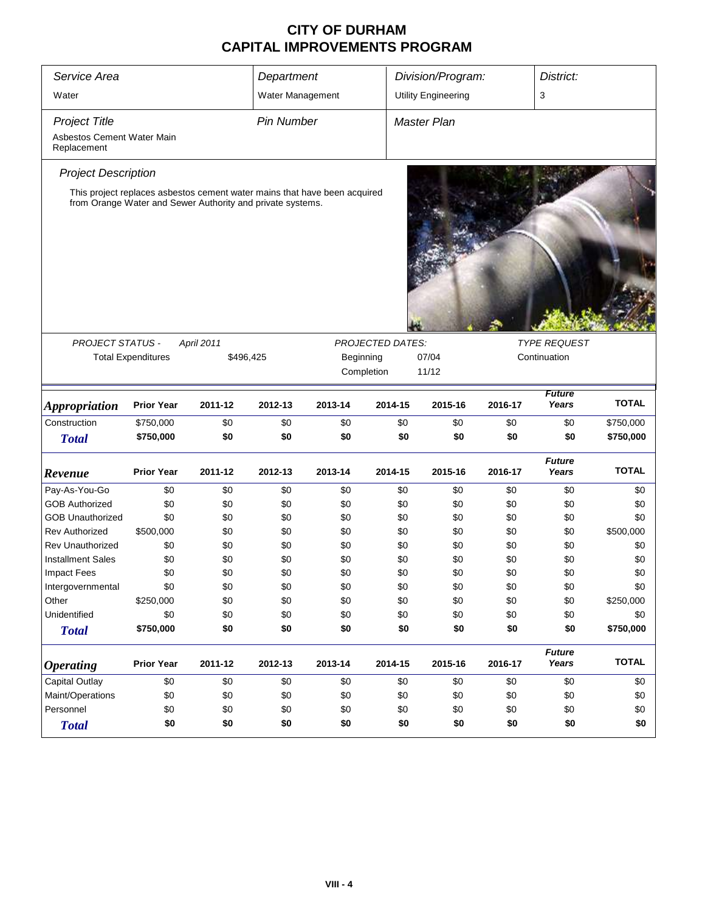| Service Area                              |                                                                                                                                         |            | Department        |            |                         | Division/Program:<br>District: |            |                        |                  |
|-------------------------------------------|-----------------------------------------------------------------------------------------------------------------------------------------|------------|-------------------|------------|-------------------------|--------------------------------|------------|------------------------|------------------|
| Water                                     |                                                                                                                                         |            | Water Management  |            |                         | <b>Utility Engineering</b>     |            | 3                      |                  |
| <b>Project Title</b>                      |                                                                                                                                         |            | <b>Pin Number</b> |            |                         | <b>Master Plan</b>             |            |                        |                  |
| Asbestos Cement Water Main<br>Replacement |                                                                                                                                         |            |                   |            |                         |                                |            |                        |                  |
| <b>Project Description</b>                |                                                                                                                                         |            |                   |            |                         |                                |            |                        |                  |
|                                           | This project replaces asbestos cement water mains that have been acquired<br>from Orange Water and Sewer Authority and private systems. |            |                   |            |                         |                                |            |                        |                  |
| <b>PROJECT STATUS -</b>                   |                                                                                                                                         | April 2011 |                   |            | <b>PROJECTED DATES:</b> |                                |            | <b>TYPE REQUEST</b>    |                  |
|                                           | <b>Total Expenditures</b>                                                                                                               |            | \$496,425         |            | Beginning               | 07/04                          |            | Continuation           |                  |
|                                           |                                                                                                                                         |            |                   |            | Completion              | 11/12                          |            |                        |                  |
| <b>Appropriation</b>                      | <b>Prior Year</b>                                                                                                                       | 2011-12    | 2012-13           | 2013-14    | 2014-15                 | 2015-16                        | 2016-17    | <b>Future</b><br>Years | <b>TOTAL</b>     |
| Construction                              | \$750,000                                                                                                                               | \$0        | \$0               | \$0        | \$0                     | \$0                            | \$0        | \$0                    | \$750,000        |
| <b>Total</b>                              | \$750,000                                                                                                                               | \$0        | \$0               | \$0        | \$0                     | \$0                            | \$0        | \$0                    | \$750,000        |
| Revenue                                   | <b>Prior Year</b>                                                                                                                       | 2011-12    | 2012-13           | 2013-14    | 2014-15                 | 2015-16                        | 2016-17    | <b>Future</b><br>Years | <b>TOTAL</b>     |
| Pay-As-You-Go                             | \$0                                                                                                                                     | \$0        | \$0               | \$0        | \$0                     | \$0                            | \$0        | \$0                    | \$0              |
| <b>GOB Authorized</b>                     | \$0                                                                                                                                     | \$0        | \$0               | \$0        | \$0                     | \$0                            | \$0        | \$0                    | \$0              |
| <b>GOB Unauthorized</b>                   | \$0                                                                                                                                     | \$0        | \$0               | \$0        | \$0                     | \$0                            | \$0        | \$0                    | \$0              |
| <b>Rev Authorized</b>                     | \$500,000                                                                                                                               | \$0        | \$0               | \$0        | \$0                     | \$0                            | \$0        | \$0                    | \$500,000        |
| <b>Rev Unauthorized</b>                   | \$0                                                                                                                                     | \$0        | \$0               | \$0        | \$0                     | \$0                            | \$0        | \$0                    | \$0              |
| <b>Installment Sales</b>                  | \$0                                                                                                                                     | \$0        | \$0               | \$0        | \$0                     | \$0                            | \$0        | \$0                    | \$0              |
| <b>Impact Fees</b>                        | \$0                                                                                                                                     | \$0        | \$0               | \$0        | \$0                     | \$0                            | \$0        | \$0                    | \$0              |
| Intergovernmental                         | \$0                                                                                                                                     | \$0        | \$0               | \$0        | \$0                     | \$0                            | \$0        | \$0                    | \$0              |
| Other                                     | \$250,000                                                                                                                               | \$0        | \$0               | \$0        | \$0                     | \$0                            | \$0        | \$0                    | \$250,000        |
| Unidentified                              | \$0<br>\$750,000                                                                                                                        | \$0<br>\$0 | \$0<br>\$0        | \$0<br>\$0 | \$0<br>\$0              | \$0<br>\$0                     | \$0<br>\$0 | \$0<br>\$0             | \$0<br>\$750,000 |
| <b>Total</b>                              |                                                                                                                                         |            |                   |            |                         |                                |            |                        |                  |
| <b>Operating</b>                          | <b>Prior Year</b>                                                                                                                       | 2011-12    | 2012-13           | 2013-14    | 2014-15                 | 2015-16                        | 2016-17    | <b>Future</b><br>Years | <b>TOTAL</b>     |
| <b>Capital Outlay</b>                     | \$0                                                                                                                                     | \$0        | \$0               | \$0        | \$0                     | \$0                            | \$0        | \$0                    | \$0              |
| Maint/Operations                          | \$0                                                                                                                                     | \$0        | \$0               | \$0        | \$0                     | \$0                            | \$0        | \$0                    | \$0              |
| Personnel                                 | \$0                                                                                                                                     | \$0        | \$0               | \$0        | \$0                     | \$0                            | \$0        | \$0                    | \$0              |
| <b>Total</b>                              | \$0                                                                                                                                     | \$0        | \$0               | \$0        | \$0                     | \$0                            | \$0        | \$0                    | \$0              |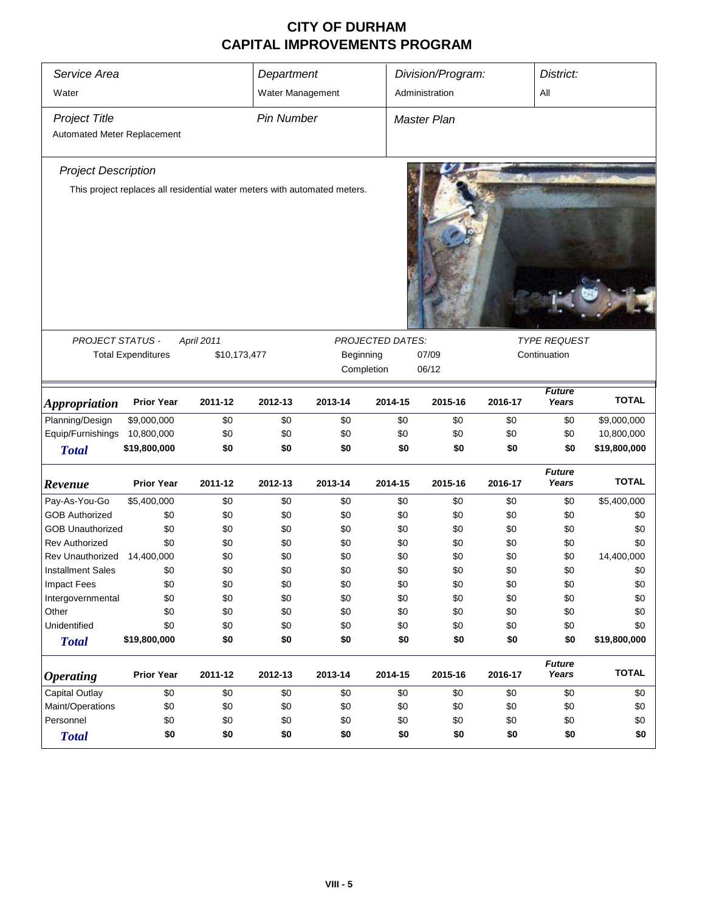| Service Area<br>Water                               |                                                                           |              | Department<br>Water Management |           |                         | Division/Program:<br>Administration |         |                        | District:<br>All |  |
|-----------------------------------------------------|---------------------------------------------------------------------------|--------------|--------------------------------|-----------|-------------------------|-------------------------------------|---------|------------------------|------------------|--|
| <b>Project Title</b><br>Automated Meter Replacement |                                                                           |              | <b>Pin Number</b>              |           |                         | Master Plan                         |         |                        |                  |  |
|                                                     |                                                                           |              |                                |           |                         |                                     |         |                        |                  |  |
| <b>Project Description</b>                          |                                                                           |              |                                |           |                         |                                     |         |                        |                  |  |
|                                                     | This project replaces all residential water meters with automated meters. |              |                                |           |                         |                                     |         |                        |                  |  |
|                                                     |                                                                           |              |                                |           |                         |                                     |         |                        |                  |  |
| PROJECT STATUS -                                    |                                                                           | April 2011   |                                |           | <b>PROJECTED DATES:</b> |                                     |         | <b>TYPE REQUEST</b>    |                  |  |
|                                                     | <b>Total Expenditures</b>                                                 | \$10,173,477 |                                | Beginning |                         | 07/09                               |         | Continuation           |                  |  |
|                                                     |                                                                           |              |                                |           | Completion              | 06/12                               |         |                        |                  |  |
| <i><b>Appropriation</b></i>                         | <b>Prior Year</b>                                                         | 2011-12      | 2012-13                        | 2013-14   | 2014-15                 | 2015-16                             | 2016-17 | <b>Future</b><br>Years | <b>TOTAL</b>     |  |
| Planning/Design                                     | \$9,000,000                                                               | \$0          | \$0                            | \$0       | \$0                     | \$0                                 | \$0     | \$0                    | \$9,000,000      |  |
| Equip/Furnishings                                   | 10,800,000                                                                | \$0          | \$0                            | \$0       | \$0                     | \$0                                 | \$0     | \$0                    | 10,800,000       |  |
| <b>Total</b>                                        | \$19,800,000                                                              | \$0          | \$0                            | \$0       | \$0                     | \$0                                 | \$0     | \$0                    | \$19,800,000     |  |
| Revenue                                             | <b>Prior Year</b>                                                         | 2011-12      | 2012-13                        | 2013-14   | 2014-15                 | 2015-16                             | 2016-17 | <b>Future</b><br>Years | <b>TOTAL</b>     |  |
| Pay-As-You-Go                                       | \$5,400,000                                                               | \$0          | \$0                            | \$0       | \$0                     | \$0                                 | \$0     | \$0                    | \$5,400,000      |  |
| <b>GOB Authorized</b>                               | \$0                                                                       | \$0          | \$0                            | \$0       | \$0                     | \$0                                 | \$0     | \$0                    | \$0              |  |
| <b>GOB Unauthorized</b>                             | \$0                                                                       | \$0          | \$0                            | \$0       | \$0                     | \$0                                 | \$0     | \$0                    | \$0              |  |
| <b>Rev Authorized</b>                               | \$0                                                                       | \$0          | \$0                            | \$0       | \$0                     | \$0                                 | \$0     | \$0                    | \$0              |  |
| Rev Unauthorized 14,400,000                         |                                                                           | \$0          | \$0                            | \$0       | \$0                     | \$0                                 | \$0     | \$0                    | 14,400,000       |  |
| <b>Installment Sales</b>                            | \$0                                                                       | \$0          | \$0                            | \$0       | \$0                     | \$0                                 | \$0     | \$0                    | \$0              |  |
| <b>Impact Fees</b>                                  | \$0                                                                       | \$0          | \$0                            | \$0       | \$0                     | \$0                                 | \$0     | \$0                    | \$0              |  |
| Intergovernmental                                   | \$0                                                                       | \$0          | \$0                            | \$0       | \$0                     | \$0                                 | \$0     | \$0                    | \$0              |  |
| Other                                               | \$0                                                                       | \$0          | \$0                            | \$0       | \$0                     | \$0                                 | \$0     | \$0                    | \$0              |  |
| Unidentified                                        | \$0                                                                       | \$0          | \$0                            | \$0       | \$0                     | \$0                                 | \$0     | \$0                    | \$0              |  |
| <b>Total</b>                                        | \$19,800,000                                                              | \$0          | \$0                            | \$0       | \$0                     | \$0                                 | \$0     | \$0                    | \$19,800,000     |  |
| <b>Operating</b>                                    | <b>Prior Year</b>                                                         | 2011-12      | 2012-13                        | 2013-14   | 2014-15                 | 2015-16                             | 2016-17 | <b>Future</b><br>Years | <b>TOTAL</b>     |  |
| <b>Capital Outlay</b>                               | \$0                                                                       | \$0          | \$0                            | \$0       | \$0                     | \$0                                 | \$0     | \$0                    | \$0              |  |
| Maint/Operations                                    | \$0                                                                       | \$0          | \$0                            | \$0       | \$0                     | \$0                                 | \$0     | \$0                    | \$0              |  |
| Personnel                                           | \$0                                                                       | \$0          | \$0                            | \$0       | \$0                     | \$0                                 | \$0     | \$0                    | \$0              |  |
| <b>Total</b>                                        | \$0                                                                       | \$0          | \$0                            | \$0       | \$0                     | \$0                                 | \$0     | \$0                    | \$0              |  |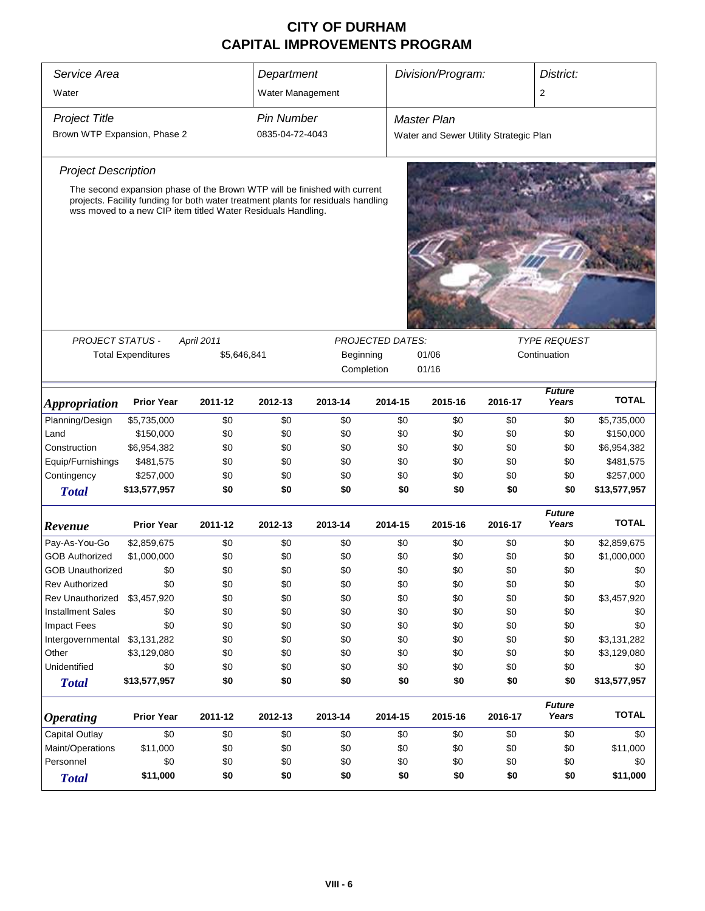| Service Area<br>Division/Program:<br>District:<br>Department |                                                                                                                                                                                                                                |             |                   |                         |                         |                                        |         |                        |              |
|--------------------------------------------------------------|--------------------------------------------------------------------------------------------------------------------------------------------------------------------------------------------------------------------------------|-------------|-------------------|-------------------------|-------------------------|----------------------------------------|---------|------------------------|--------------|
| Water                                                        |                                                                                                                                                                                                                                |             | Water Management  |                         |                         |                                        |         | 2                      |              |
| <b>Project Title</b>                                         |                                                                                                                                                                                                                                |             | <b>Pin Number</b> |                         |                         | <b>Master Plan</b>                     |         |                        |              |
| Brown WTP Expansion, Phase 2                                 |                                                                                                                                                                                                                                |             | 0835-04-72-4043   |                         |                         | Water and Sewer Utility Strategic Plan |         |                        |              |
|                                                              |                                                                                                                                                                                                                                |             |                   |                         |                         |                                        |         |                        |              |
| <b>Project Description</b>                                   |                                                                                                                                                                                                                                |             |                   |                         |                         |                                        |         |                        |              |
|                                                              | The second expansion phase of the Brown WTP will be finished with current<br>projects. Facility funding for both water treatment plants for residuals handling<br>wss moved to a new CIP item titled Water Residuals Handling. |             |                   |                         |                         |                                        |         |                        |              |
|                                                              |                                                                                                                                                                                                                                |             |                   |                         |                         |                                        |         | <b>TYPE REQUEST</b>    |              |
| <b>PROJECT STATUS -</b>                                      |                                                                                                                                                                                                                                | April 2011  |                   |                         | <b>PROJECTED DATES:</b> |                                        |         |                        |              |
|                                                              | <b>Total Expenditures</b>                                                                                                                                                                                                      | \$5,646,841 |                   | Beginning<br>Completion |                         | 01/06<br>Continuation<br>01/16         |         |                        |              |
| <i><b>Appropriation</b></i>                                  | <b>Prior Year</b>                                                                                                                                                                                                              | 2011-12     | 2012-13           | 2013-14                 | 2014-15                 | 2015-16                                | 2016-17 | <b>Future</b><br>Years | <b>TOTAL</b> |
| Planning/Design                                              | \$5,735,000                                                                                                                                                                                                                    | \$0         | \$0               | \$0                     | \$0                     | \$0                                    | \$0     | \$0                    | \$5,735,000  |
| Land                                                         | \$150,000                                                                                                                                                                                                                      | \$0         | \$0               | \$0                     | \$0                     | \$0                                    | \$0     | \$0                    | \$150,000    |
| Construction                                                 | \$6,954,382                                                                                                                                                                                                                    | \$0         | \$0               | \$0                     | \$0                     | \$0                                    | \$0     | \$0                    | \$6,954,382  |
| Equip/Furnishings                                            | \$481,575                                                                                                                                                                                                                      | \$0         | \$0               | \$0                     | \$0                     | \$0                                    | \$0     | \$0                    | \$481,575    |
| Contingency                                                  | \$257,000                                                                                                                                                                                                                      | \$0         | \$0               | \$0                     | \$0                     | \$0                                    | \$0     | \$0                    | \$257,000    |
| <b>Total</b>                                                 | \$13,577,957                                                                                                                                                                                                                   | \$0         | \$0               | \$0                     | \$0                     | \$0                                    | \$0     | \$0                    | \$13,577,957 |
| Revenue                                                      | <b>Prior Year</b>                                                                                                                                                                                                              | 2011-12     | 2012-13           | 2013-14                 | 2014-15                 | 2015-16                                | 2016-17 | <b>Future</b><br>Years | <b>TOTAL</b> |
| Pay-As-You-Go                                                | \$2,859,675                                                                                                                                                                                                                    | \$0         | \$0               | \$0                     | \$0                     | \$0                                    | \$0     | \$0                    | \$2,859,675  |
| <b>GOB Authorized</b>                                        | \$1,000,000                                                                                                                                                                                                                    | \$0         | \$0               | \$0                     | \$0                     | \$0                                    | \$0     | \$0                    | \$1,000,000  |
| <b>GOB Unauthorized</b>                                      | \$0                                                                                                                                                                                                                            | \$0         | \$0               | \$0                     | \$0                     | \$0                                    | \$0     | \$0                    | \$0          |
| <b>Rev Authorized</b>                                        | \$0                                                                                                                                                                                                                            | \$0         | \$0               | \$0                     | \$0                     | \$0                                    | \$0     | \$0                    | \$0          |
| Rev Unauthorized                                             | \$3,457,920                                                                                                                                                                                                                    | \$0         | \$0               | \$0                     | \$0                     | \$0                                    | \$0     | \$0                    | \$3,457,920  |
| <b>Installment Sales</b>                                     | \$0                                                                                                                                                                                                                            | \$0         | \$0               | \$0                     | \$0                     | \$0                                    | \$0     | \$0                    | \$0          |
| <b>Impact Fees</b>                                           | \$0                                                                                                                                                                                                                            | \$0         | \$0               | \$0                     | \$0                     | \$0                                    | \$0     | \$0                    | \$0          |
| Intergovernmental                                            | \$3,131,282                                                                                                                                                                                                                    | \$0         | \$0               | \$0                     | \$0                     | \$0                                    | \$0     | \$0                    | \$3,131,282  |
| Other                                                        | \$3,129,080                                                                                                                                                                                                                    | \$0         | \$0               | \$0                     | \$0                     | \$0                                    | \$0     | \$0                    | \$3,129,080  |
| Unidentified                                                 | \$0                                                                                                                                                                                                                            | \$0         | \$0               | \$0                     | \$0                     | \$0                                    | \$0     | \$0                    | \$0          |
| <b>Total</b>                                                 | \$13,577,957                                                                                                                                                                                                                   | \$0         | \$0               | \$0                     | \$0                     | \$0                                    | \$0     | \$0                    | \$13,577,957 |
| <b>Operating</b>                                             | <b>Prior Year</b>                                                                                                                                                                                                              | 2011-12     | 2012-13           | 2013-14                 | 2014-15                 | 2015-16                                | 2016-17 | <b>Future</b><br>Years | <b>TOTAL</b> |
| Capital Outlay                                               | \$0                                                                                                                                                                                                                            | \$0         | \$0               | \$0                     | \$0                     | \$0                                    | \$0     | \$0                    | \$0          |
| Maint/Operations                                             | \$11,000                                                                                                                                                                                                                       | \$0         | \$0               | \$0                     | \$0                     | \$0                                    | \$0     | \$0                    | \$11,000     |
| Personnel                                                    | \$0                                                                                                                                                                                                                            | \$0         | \$0               | \$0                     | \$0                     | \$0                                    | \$0     | \$0                    | \$0          |
| <b>Total</b>                                                 | \$11,000                                                                                                                                                                                                                       | \$0         | \$0               | \$0                     | \$0                     | \$0                                    | \$0     | \$0                    | \$11,000     |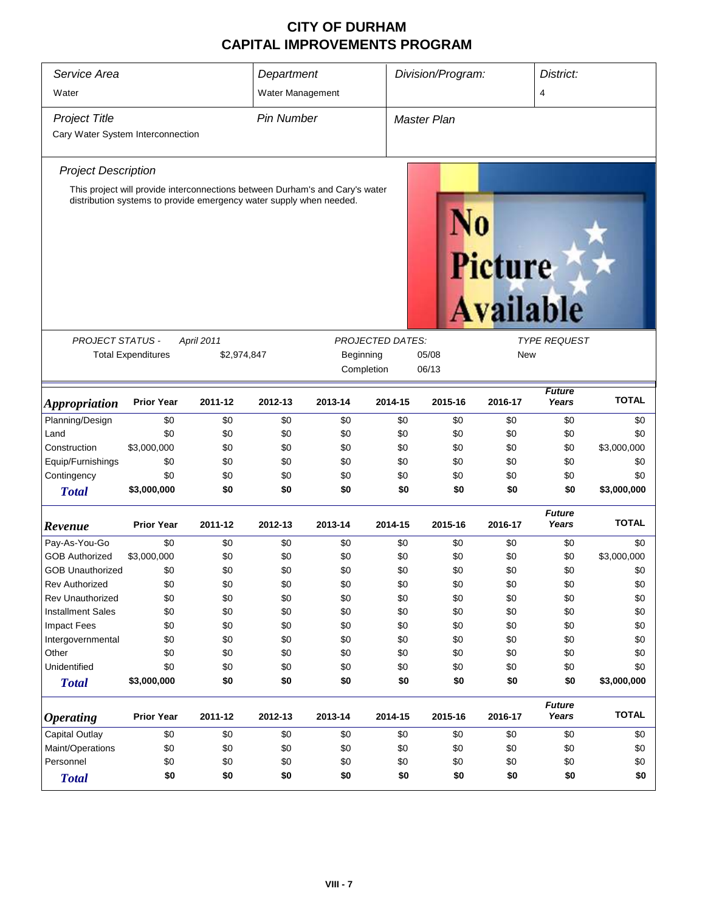| Service Area<br>Water             |                                                                     |             | Department<br>Water Management |                                                                              |                         | Division/Program:   |         | District:<br>4         |              |
|-----------------------------------|---------------------------------------------------------------------|-------------|--------------------------------|------------------------------------------------------------------------------|-------------------------|---------------------|---------|------------------------|--------------|
| <b>Project Title</b>              |                                                                     |             | <b>Pin Number</b>              |                                                                              |                         | <b>Master Plan</b>  |         |                        |              |
| Cary Water System Interconnection |                                                                     |             |                                |                                                                              |                         |                     |         |                        |              |
| <b>Project Description</b>        |                                                                     |             |                                |                                                                              |                         |                     |         |                        |              |
|                                   | distribution systems to provide emergency water supply when needed. |             |                                | This project will provide interconnections between Durham's and Cary's water |                         |                     | Picture | <b>Available</b>       |              |
| <b>PROJECT STATUS -</b>           |                                                                     | April 2011  |                                |                                                                              | <b>PROJECTED DATES:</b> |                     |         | <b>TYPE REQUEST</b>    |              |
|                                   | <b>Total Expenditures</b>                                           | \$2,974,847 |                                | Beginning                                                                    |                         | 05/08<br><b>New</b> |         |                        |              |
|                                   |                                                                     |             |                                | Completion                                                                   |                         | 06/13               |         |                        |              |
| <i><b>Appropriation</b></i>       | <b>Prior Year</b>                                                   | 2011-12     | 2012-13                        | 2013-14                                                                      | 2014-15                 | 2015-16             | 2016-17 | <b>Future</b><br>Years | <b>TOTAL</b> |
| Planning/Design                   | \$0                                                                 | \$0         | \$0                            | \$0                                                                          | \$0                     | \$0                 | \$0     | \$0                    | \$0          |
| Land                              | \$0                                                                 | \$0         | \$0                            | \$0                                                                          | \$0                     | \$0                 | \$0     | \$0                    | \$0          |
| Construction                      | \$3,000,000                                                         | \$0         | \$0                            | \$0                                                                          | \$0                     | \$0                 | \$0     | \$0                    | \$3,000,000  |
| Equip/Furnishings                 | \$0                                                                 | \$0         | \$0                            | \$0                                                                          | \$0                     | \$0                 | \$0     | \$0                    | \$0          |
| Contingency                       | \$0                                                                 | \$0         | \$0                            | \$0                                                                          | \$0                     | \$0                 | \$0     | \$0                    | \$0          |
| <b>Total</b>                      | \$3,000,000                                                         | \$0         | \$0                            | \$0                                                                          | \$0                     | \$0                 | \$0     | \$0                    | \$3,000,000  |
| Revenue                           | <b>Prior Year</b>                                                   | 2011-12     | 2012-13                        | 2013-14                                                                      | 2014-15                 | 2015-16             | 2016-17 | <b>Future</b><br>Years | <b>TOTAL</b> |
| Pay-As-You-Go                     | \$0                                                                 | \$0         | \$0                            | \$0                                                                          | \$0                     | \$0                 | \$0     | \$0                    | \$0          |
| <b>GOB Authorized</b>             | \$3,000,000                                                         | \$0         | \$0                            | \$0                                                                          | \$0                     | \$0                 | \$0     | \$0                    | \$3,000,000  |
| <b>GOB Unauthorized</b>           | \$0                                                                 | \$0         | \$0                            | \$0                                                                          | \$0                     | \$0                 | \$0     | \$0                    | \$0          |
| <b>Rev Authorized</b>             | \$0                                                                 | \$0         | \$0                            | \$0                                                                          | \$0                     | \$0                 | \$0     | \$0                    | \$0          |
| <b>Rev Unauthorized</b>           | \$0                                                                 | \$0         | \$0                            | \$0                                                                          | \$0                     | \$0                 | \$0     | \$0                    | \$0          |
| <b>Installment Sales</b>          | \$0                                                                 | \$0         | \$0                            | \$0                                                                          | \$0                     | \$0                 | \$0     | \$0                    | \$0          |
| <b>Impact Fees</b>                | \$0                                                                 | \$0         | \$0                            | \$0                                                                          | \$0                     | \$0                 | \$0     | \$0                    | \$0          |
| Intergovernmental                 | \$0                                                                 | \$0         | \$0                            | \$0                                                                          | \$0                     | \$0                 | \$0     | \$0                    | \$0          |
| Other                             | \$0                                                                 | \$0         | \$0                            | \$0                                                                          | \$0                     | \$0                 | \$0     | \$0                    | \$0          |
| Unidentified                      | \$0                                                                 | \$0         | \$0                            | \$0                                                                          | \$0                     | \$0                 | \$0     | \$0                    | \$0          |
| <b>Total</b>                      | \$3,000,000                                                         | \$0         | \$0                            | \$0                                                                          | \$0                     | \$0                 | \$0     | \$0                    | \$3,000,000  |
| <b>Operating</b>                  | <b>Prior Year</b>                                                   | 2011-12     | 2012-13                        | 2013-14                                                                      | 2014-15                 | 2015-16             | 2016-17 | <b>Future</b><br>Years | <b>TOTAL</b> |
| <b>Capital Outlay</b>             | \$0                                                                 | \$0         | \$0                            | \$0                                                                          | \$0                     | \$0                 | \$0     | \$0                    | \$0          |
| Maint/Operations                  | \$0                                                                 | \$0         | \$0                            | \$0                                                                          | \$0                     | \$0                 | \$0     | \$0                    | \$0          |
| Personnel                         | \$0                                                                 | \$0         | \$0                            | \$0                                                                          | \$0                     | \$0                 | \$0     | \$0                    | \$0          |
| <b>Total</b>                      | \$0                                                                 | \$0         | \$0                            | \$0                                                                          | \$0                     | \$0                 | \$0     | \$0                    | \$0          |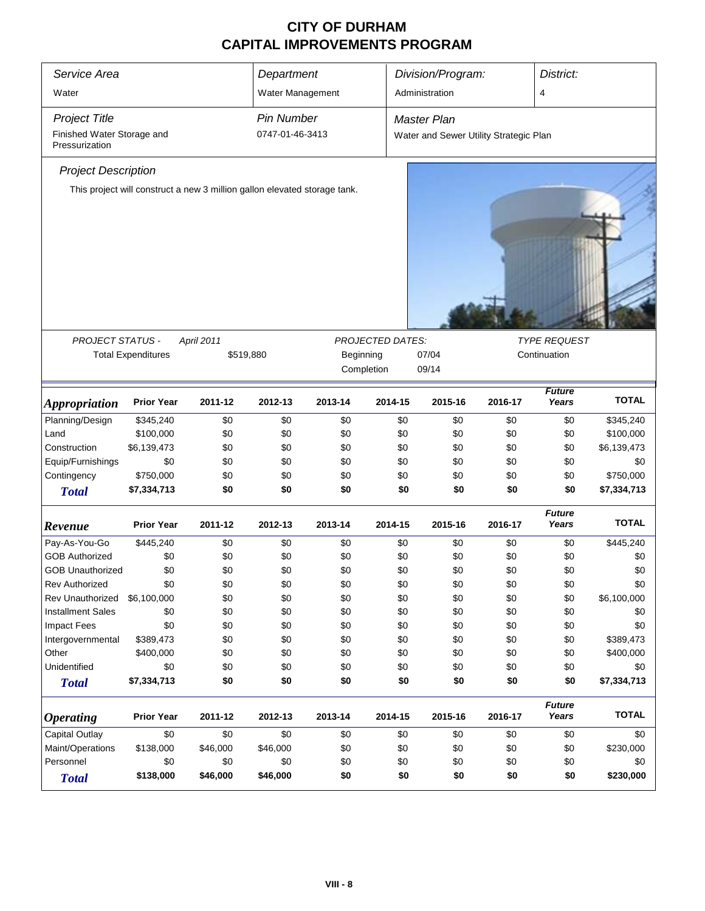| Service Area                                        |                                                                           | Department |                   |         |                         | District:                              |         |                        |              |
|-----------------------------------------------------|---------------------------------------------------------------------------|------------|-------------------|---------|-------------------------|----------------------------------------|---------|------------------------|--------------|
| Water                                               |                                                                           |            | Water Management  |         |                         | Division/Program:<br>Administration    |         | 4                      |              |
|                                                     |                                                                           |            |                   |         |                         |                                        |         |                        |              |
| <b>Project Title</b>                                |                                                                           |            | <b>Pin Number</b> |         |                         | <b>Master Plan</b>                     |         |                        |              |
| Finished Water Storage and<br>Pressurization        |                                                                           |            | 0747-01-46-3413   |         |                         | Water and Sewer Utility Strategic Plan |         |                        |              |
| <b>Project Description</b>                          |                                                                           |            |                   |         |                         |                                        |         |                        |              |
|                                                     | This project will construct a new 3 million gallon elevated storage tank. |            |                   |         |                         |                                        |         |                        |              |
|                                                     |                                                                           |            |                   |         |                         |                                        |         |                        |              |
|                                                     |                                                                           |            |                   |         |                         |                                        |         |                        |              |
|                                                     |                                                                           |            |                   |         |                         |                                        |         |                        |              |
|                                                     |                                                                           |            |                   |         |                         |                                        |         |                        |              |
|                                                     |                                                                           |            |                   |         |                         |                                        |         |                        |              |
|                                                     |                                                                           |            |                   |         |                         |                                        |         |                        |              |
|                                                     |                                                                           |            |                   |         |                         |                                        |         |                        |              |
| PROJECT STATUS -                                    |                                                                           | April 2011 |                   |         | <b>PROJECTED DATES:</b> |                                        |         | <b>TYPE REQUEST</b>    |              |
|                                                     | <b>Total Expenditures</b>                                                 |            | \$519,880         |         | Beginning<br>07/04      |                                        |         | Continuation           |              |
|                                                     |                                                                           |            |                   |         | Completion              | 09/14                                  |         |                        |              |
| <b>Appropriation</b>                                | <b>Prior Year</b>                                                         | 2011-12    | 2012-13           | 2013-14 | 2014-15                 | 2015-16                                | 2016-17 | <b>Future</b><br>Years | <b>TOTAL</b> |
| Planning/Design                                     | \$345,240                                                                 | \$0        | \$0               | \$0     | \$0                     | \$0                                    | \$0     | \$0                    | \$345,240    |
| Land                                                | \$100,000                                                                 | \$0        | \$0               | \$0     | \$0                     | \$0                                    | \$0     | \$0                    | \$100,000    |
| Construction                                        | \$6,139,473                                                               | \$0        | \$0               | \$0     | \$0                     | \$0                                    | \$0     | \$0                    | \$6,139,473  |
| Equip/Furnishings                                   | \$0                                                                       | \$0        | \$0               | \$0     | \$0                     | \$0                                    | \$0     | \$0                    | \$0          |
| Contingency                                         | \$750,000                                                                 | \$0        | \$0               | \$0     | \$0                     | \$0                                    | \$0     | \$0                    | \$750,000    |
| <b>Total</b>                                        | \$7,334,713                                                               | \$0        | \$0               | \$0     | \$0                     | \$0                                    | \$0     | \$0                    | \$7,334,713  |
|                                                     | <b>Prior Year</b>                                                         | 2011-12    | 2012-13           | 2013-14 | 2014-15                 | 2015-16                                | 2016-17 | <b>Future</b><br>Years | <b>TOTAL</b> |
| Revenue<br>Pay-As-You-Go                            | \$445,240                                                                 | \$0        | \$0               | \$0     | \$0                     | \$0                                    | \$0     | \$0                    | \$445,240    |
| <b>GOB Authorized</b>                               | \$0                                                                       | \$0        | \$0               | \$0     | \$0                     | \$0                                    | \$0     | \$0                    | \$0          |
| <b>GOB Unauthorized</b>                             | \$0                                                                       | \$0        | \$0               | \$0     | \$0                     | \$0                                    | \$0     | \$0                    | \$0          |
| <b>Rev Authorized</b>                               | \$0                                                                       | \$0        | \$0               | \$0     | \$0                     | \$0                                    | \$0     | \$0                    | \$0          |
| Rev Unauthorized                                    | \$6,100,000                                                               | \$0        | \$0               | \$0     | \$0                     | \$0                                    | \$0     | \$0                    | \$6,100,000  |
| <b>Installment Sales</b>                            | \$0                                                                       | \$0        | \$0               | \$0     | \$0                     | \$0                                    | \$0     | \$0                    | \$0          |
| <b>Impact Fees</b>                                  | \$0                                                                       | \$0        | \$0               | \$0     | \$0                     | \$0                                    | \$0     | \$0                    | \$0          |
| Intergovernmental                                   | \$389,473                                                                 | \$0        | \$0               | \$0     | \$0                     | \$0                                    | \$0     | \$0                    | \$389,473    |
| Other                                               | \$400,000                                                                 | \$0        | \$0               | \$0     | \$0                     | \$0                                    | \$0     | \$0                    | \$400,000    |
| Unidentified                                        | \$0                                                                       | \$0        | \$0               | \$0     | \$0                     | \$0                                    | \$0     | \$0                    | \$0          |
| <b>Total</b>                                        | \$7,334,713                                                               | \$0        | \$0               | \$0     | \$0                     | \$0                                    | \$0     | \$0                    | \$7,334,713  |
|                                                     |                                                                           |            |                   |         |                         |                                        |         | <b>Future</b>          | <b>TOTAL</b> |
| <b>Operating</b>                                    | <b>Prior Year</b>                                                         | 2011-12    | 2012-13           | 2013-14 | 2014-15                 | 2015-16                                | 2016-17 | Years                  |              |
| <b>Capital Outlay</b>                               | \$0                                                                       | \$0        | \$0               | \$0     | \$0                     | \$0                                    | \$0     | \$0                    | \$0          |
| Maint/Operations                                    | \$138,000                                                                 | \$46,000   | \$46,000          | \$0     | \$0                     | \$0                                    | \$0     | \$0                    | \$230,000    |
| Personnel<br>\$0<br>\$0<br>\$0<br>\$0<br>\$0<br>\$0 |                                                                           |            |                   |         | \$0                     | \$0                                    | \$0     |                        |              |
| <b>Total</b>                                        | \$138,000                                                                 | \$46,000   | \$46,000          | \$0     | \$0                     | \$0                                    | \$0     | \$0                    | \$230,000    |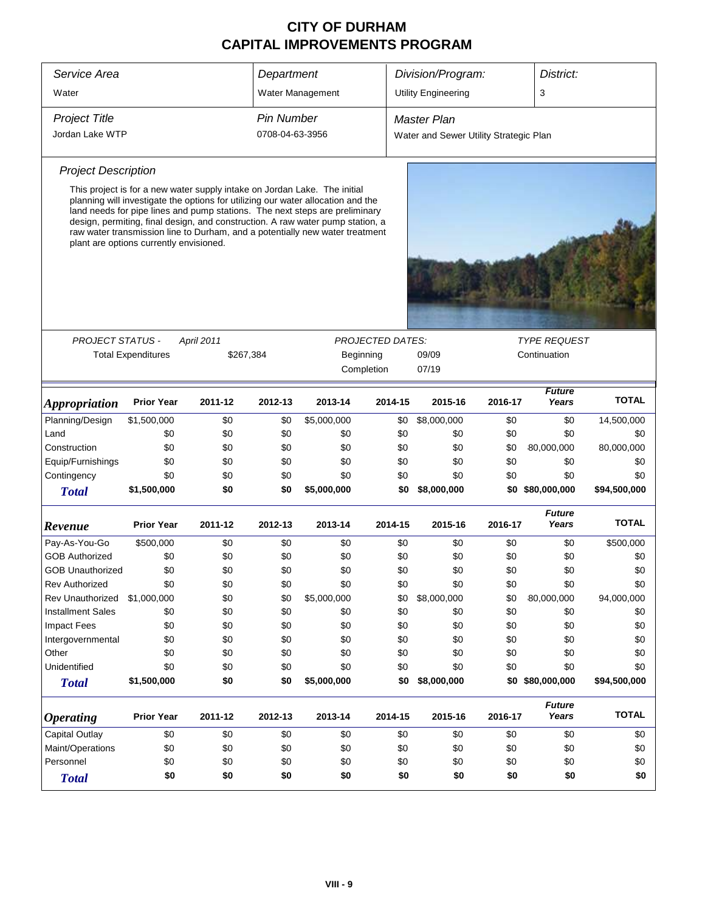| Service Area                          |                                         |            | Department        |                                                                                                                                                                                                                                                                                                                                                                                                                | Division/Program:<br>District: |                                        |              |                        |              |
|---------------------------------------|-----------------------------------------|------------|-------------------|----------------------------------------------------------------------------------------------------------------------------------------------------------------------------------------------------------------------------------------------------------------------------------------------------------------------------------------------------------------------------------------------------------------|--------------------------------|----------------------------------------|--------------|------------------------|--------------|
| Water                                 |                                         |            |                   | Water Management                                                                                                                                                                                                                                                                                                                                                                                               |                                | <b>Utility Engineering</b>             |              | 3                      |              |
|                                       |                                         |            |                   |                                                                                                                                                                                                                                                                                                                                                                                                                |                                |                                        |              |                        |              |
| <b>Project Title</b>                  |                                         |            | <b>Pin Number</b> |                                                                                                                                                                                                                                                                                                                                                                                                                |                                | <b>Master Plan</b>                     |              |                        |              |
| Jordan Lake WTP                       |                                         |            | 0708-04-63-3956   |                                                                                                                                                                                                                                                                                                                                                                                                                |                                | Water and Sewer Utility Strategic Plan |              |                        |              |
| <b>Project Description</b>            |                                         |            |                   |                                                                                                                                                                                                                                                                                                                                                                                                                |                                |                                        |              |                        |              |
|                                       | plant are options currently envisioned. |            |                   | This project is for a new water supply intake on Jordan Lake. The initial<br>planning will investigate the options for utilizing our water allocation and the<br>land needs for pipe lines and pump stations. The next steps are preliminary<br>design, permiting, final design, and construction. A raw water pump station, a<br>raw water transmission line to Durham, and a potentially new water treatment |                                |                                        |              |                        |              |
| <b>PROJECT STATUS -</b>               |                                         | April 2011 |                   |                                                                                                                                                                                                                                                                                                                                                                                                                | <b>PROJECTED DATES:</b>        |                                        |              | <b>TYPE REQUEST</b>    |              |
|                                       | <b>Total Expenditures</b>               | \$267,384  |                   |                                                                                                                                                                                                                                                                                                                                                                                                                | Beginning                      | 09/09                                  | Continuation |                        |              |
|                                       |                                         |            |                   |                                                                                                                                                                                                                                                                                                                                                                                                                | Completion                     | 07/19                                  |              |                        |              |
|                                       |                                         |            |                   |                                                                                                                                                                                                                                                                                                                                                                                                                |                                |                                        |              |                        |              |
| <b>Appropriation</b>                  | <b>Prior Year</b>                       | 2011-12    | 2012-13           | 2013-14                                                                                                                                                                                                                                                                                                                                                                                                        | 2014-15                        | 2015-16                                | 2016-17      | <b>Future</b><br>Years | <b>TOTAL</b> |
| Planning/Design                       | \$1,500,000                             | \$0        | \$0               | \$5,000,000                                                                                                                                                                                                                                                                                                                                                                                                    | \$0                            | \$8,000,000                            | \$0          | \$0                    | 14,500,000   |
| Land                                  | \$0                                     | \$0        | \$0               | \$0                                                                                                                                                                                                                                                                                                                                                                                                            | \$0                            | \$0                                    | \$0          | \$0                    | \$0          |
| Construction                          | \$0                                     | \$0        | \$0               | \$0                                                                                                                                                                                                                                                                                                                                                                                                            | \$0                            | \$0                                    | \$0          | 80,000,000             | 80,000,000   |
| Equip/Furnishings                     | \$0                                     | \$0        | \$0               | \$0                                                                                                                                                                                                                                                                                                                                                                                                            | \$0                            | \$0                                    | \$0          | \$0                    | \$0          |
| Contingency                           | \$0                                     | \$0        | \$0               | \$0                                                                                                                                                                                                                                                                                                                                                                                                            | \$0                            | \$0                                    | \$0          | \$0                    | \$0          |
| <b>Total</b>                          | \$1,500,000                             | \$0        | \$0               | \$5,000,000                                                                                                                                                                                                                                                                                                                                                                                                    | \$0                            | \$8,000,000                            |              | \$0 \$80,000,000       | \$94,500,000 |
| Revenue                               | <b>Prior Year</b>                       | 2011-12    | 2012-13           | 2013-14                                                                                                                                                                                                                                                                                                                                                                                                        | 2014-15                        | 2015-16                                | 2016-17      | <b>Future</b><br>Years | <b>TOTAL</b> |
| Pay-As-You-Go                         | \$500,000                               | \$0        | \$0               | \$0                                                                                                                                                                                                                                                                                                                                                                                                            | \$0                            | \$0                                    | \$0          | \$0                    | \$500,000    |
| <b>GOB Authorized</b>                 | \$0                                     | \$0        | \$0               | \$0                                                                                                                                                                                                                                                                                                                                                                                                            | \$0                            | \$0                                    | \$0          | \$0                    | \$0          |
| <b>GOB Unauthorized</b>               | \$0                                     | \$0        | \$0               | \$0                                                                                                                                                                                                                                                                                                                                                                                                            | \$0                            | \$0                                    | \$0          | \$0                    | \$0          |
| <b>Rev Authorized</b>                 | \$0                                     | \$0        | \$0               | \$0                                                                                                                                                                                                                                                                                                                                                                                                            | \$0                            | \$0                                    | \$0          | \$0                    | \$0          |
| <b>Rev Unauthorized</b>               | \$1,000,000                             | \$0        | \$0               | \$5,000,000                                                                                                                                                                                                                                                                                                                                                                                                    | \$0                            | \$8,000,000                            | \$0          | 80,000,000             | 94,000,000   |
| <b>Installment Sales</b>              | \$0                                     | \$0        | \$0               | \$0                                                                                                                                                                                                                                                                                                                                                                                                            | \$0                            | \$0                                    | \$0          | \$0                    | \$0          |
| <b>Impact Fees</b>                    | \$0                                     | \$0        | \$0               | \$0                                                                                                                                                                                                                                                                                                                                                                                                            | \$0                            | \$0                                    | \$0          | \$0                    | \$0          |
| Intergovernmental                     | \$0                                     | \$0        | \$0               | \$0                                                                                                                                                                                                                                                                                                                                                                                                            | \$0                            | \$0                                    | \$0          | \$0                    | \$0          |
| Other                                 | \$0                                     | \$0        | \$0               | \$0                                                                                                                                                                                                                                                                                                                                                                                                            | \$0                            | \$0                                    | \$0          | \$0                    | \$0          |
| Unidentified                          | \$0                                     | \$0        | \$0               | \$0                                                                                                                                                                                                                                                                                                                                                                                                            | \$0                            | \$0                                    | \$0          | \$0                    | \$0          |
| <b>Total</b>                          | \$1,500,000                             | \$0        | \$0               | \$5,000,000                                                                                                                                                                                                                                                                                                                                                                                                    | \$0                            | \$8,000,000                            |              | \$0 \$80,000,000       | \$94,500,000 |
| <b>Operating</b>                      | <b>Prior Year</b>                       | 2011-12    | 2012-13           | 2013-14                                                                                                                                                                                                                                                                                                                                                                                                        | 2014-15                        | 2015-16                                | 2016-17      | <b>Future</b><br>Years | <b>TOTAL</b> |
| <b>Capital Outlay</b>                 | \$0                                     | \$0        | \$0               | \$0                                                                                                                                                                                                                                                                                                                                                                                                            | \$0                            | \$0                                    | \$0          | \$0                    | \$0          |
| Maint/Operations                      | \$0                                     | \$0        | \$0               | \$0                                                                                                                                                                                                                                                                                                                                                                                                            | \$0                            | \$0                                    | \$0          | \$0                    | \$0          |
| \$0<br>Personnel<br>\$0<br>\$0<br>\$0 |                                         |            |                   | \$0                                                                                                                                                                                                                                                                                                                                                                                                            | \$0                            | \$0                                    | \$0          | \$0                    |              |
| <b>Total</b>                          | \$0<br>\$0<br>\$0<br>\$0                |            |                   |                                                                                                                                                                                                                                                                                                                                                                                                                |                                | \$0<br>\$0                             | \$0          | \$0                    | \$0          |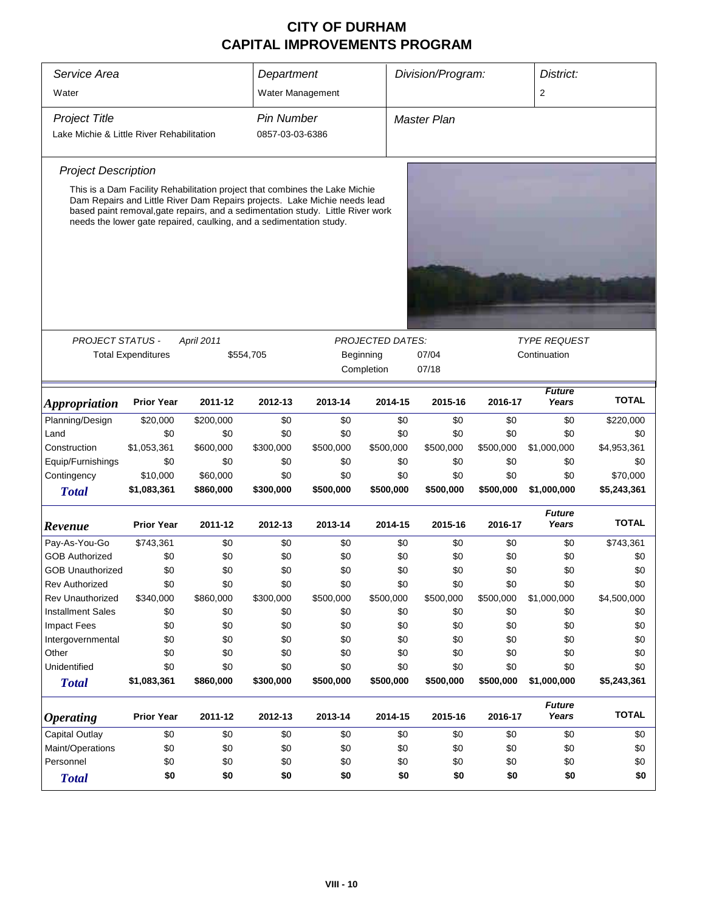| Service Area                              |                                                                                                                                                                                                                                                                                                                    |                   | Department        | Division/Program:<br>Water Management |                         |                    | District: |                        |              |
|-------------------------------------------|--------------------------------------------------------------------------------------------------------------------------------------------------------------------------------------------------------------------------------------------------------------------------------------------------------------------|-------------------|-------------------|---------------------------------------|-------------------------|--------------------|-----------|------------------------|--------------|
| Water                                     |                                                                                                                                                                                                                                                                                                                    |                   |                   |                                       |                         |                    |           | $\overline{2}$         |              |
| <b>Project Title</b>                      |                                                                                                                                                                                                                                                                                                                    |                   | <b>Pin Number</b> |                                       |                         | <b>Master Plan</b> |           |                        |              |
| Lake Michie & Little River Rehabilitation |                                                                                                                                                                                                                                                                                                                    |                   | 0857-03-03-6386   |                                       |                         |                    |           |                        |              |
| <b>Project Description</b>                |                                                                                                                                                                                                                                                                                                                    |                   |                   |                                       |                         |                    |           |                        |              |
|                                           | This is a Dam Facility Rehabilitation project that combines the Lake Michie<br>Dam Repairs and Little River Dam Repairs projects. Lake Michie needs lead<br>based paint removal, gate repairs, and a sedimentation study. Little River work<br>needs the lower gate repaired, caulking, and a sedimentation study. |                   |                   |                                       |                         |                    |           |                        |              |
|                                           |                                                                                                                                                                                                                                                                                                                    |                   |                   |                                       |                         |                    |           |                        |              |
| <b>PROJECT STATUS -</b>                   |                                                                                                                                                                                                                                                                                                                    | <b>April 2011</b> |                   |                                       | <b>PROJECTED DATES:</b> |                    |           | <b>TYPE REQUEST</b>    |              |
|                                           | <b>Total Expenditures</b>                                                                                                                                                                                                                                                                                          |                   | \$554,705         |                                       | Beginning               | 07/04              |           | Continuation           |              |
|                                           |                                                                                                                                                                                                                                                                                                                    |                   |                   |                                       | Completion              | 07/18              |           |                        |              |
| Appropriation                             | <b>Prior Year</b>                                                                                                                                                                                                                                                                                                  | 2011-12           | 2012-13           | 2013-14                               | 2014-15                 | 2015-16            | 2016-17   | <b>Future</b><br>Years | <b>TOTAL</b> |
| Planning/Design                           | \$20,000                                                                                                                                                                                                                                                                                                           | \$200,000         | \$0               | \$0                                   | \$0                     | \$0                | \$0       | \$0                    | \$220,000    |
| Land                                      | \$0                                                                                                                                                                                                                                                                                                                | \$0               | \$0               | \$0                                   | \$0                     | \$0                | \$0       | \$0                    | \$0          |
| Construction                              | \$1,053,361                                                                                                                                                                                                                                                                                                        | \$600,000         | \$300,000         | \$500,000                             | \$500,000               | \$500,000          | \$500,000 | \$1,000,000            | \$4,953,361  |
| Equip/Furnishings                         | \$0                                                                                                                                                                                                                                                                                                                | \$0               | \$0               | \$0                                   | \$0                     | \$0                | \$0       | \$0                    | \$0          |
| Contingency                               | \$10,000                                                                                                                                                                                                                                                                                                           | \$60,000          | \$0               | \$0                                   | \$0                     | \$0                | \$0       | \$0                    | \$70,000     |
| <b>Total</b>                              | \$1,083,361                                                                                                                                                                                                                                                                                                        | \$860,000         | \$300,000         | \$500,000                             | \$500,000               | \$500,000          | \$500,000 | \$1,000,000            | \$5,243,361  |
| Revenue                                   | <b>Prior Year</b>                                                                                                                                                                                                                                                                                                  | 2011-12           | 2012-13           | 2013-14                               | 2014-15                 | 2015-16            | 2016-17   | <b>Future</b><br>Years | <b>TOTAL</b> |
| Pay-As-You-Go                             | \$743,361                                                                                                                                                                                                                                                                                                          | \$0               | \$0               | \$0                                   | \$0                     | \$0                | \$0       | \$0                    | \$743,361    |
| <b>GOB Authorized</b>                     | \$0                                                                                                                                                                                                                                                                                                                | \$0               | \$0               | \$0                                   | \$0                     | \$0                | \$0       | \$0                    | \$0          |
| <b>GOB Unauthorized</b>                   | \$0                                                                                                                                                                                                                                                                                                                | \$0               | \$0               | \$0                                   | \$0                     | \$0                | \$0       | \$0                    | \$0          |
| <b>Rev Authorized</b>                     | \$0                                                                                                                                                                                                                                                                                                                | \$0               | \$0               | \$0                                   | \$0                     | \$0                | \$0       | \$0                    | \$0          |
| <b>Rev Unauthorized</b>                   | \$340,000                                                                                                                                                                                                                                                                                                          | \$860,000         | \$300,000         | \$500,000                             | \$500,000               | \$500,000          | \$500,000 | \$1,000,000            | \$4,500,000  |
| <b>Installment Sales</b>                  | \$0                                                                                                                                                                                                                                                                                                                | \$0               | \$0               | \$0                                   | \$0                     | \$0                | \$0       | \$0                    | \$0          |
| <b>Impact Fees</b>                        | \$0                                                                                                                                                                                                                                                                                                                | \$0               | \$0               | \$0                                   | \$0                     | \$0                | \$0       | \$0                    | \$0          |
| Intergovernmental                         | \$0                                                                                                                                                                                                                                                                                                                | \$0               | \$0               | \$0                                   | \$0                     | \$0                | \$0       | \$0                    | \$0          |
| Other                                     | \$0                                                                                                                                                                                                                                                                                                                | \$0               | \$0               | \$0                                   | \$0                     | \$0                | \$0       | \$0                    | \$0          |
| Unidentified                              | \$0                                                                                                                                                                                                                                                                                                                | \$0               | \$0               | \$0                                   | \$0                     | \$0                | \$0       | \$0                    | \$0          |
| <b>Total</b>                              | \$1,083,361                                                                                                                                                                                                                                                                                                        | \$860,000         | \$300,000         | \$500,000                             | \$500,000               | \$500,000          | \$500,000 | \$1,000,000            | \$5,243,361  |
| <b>Operating</b>                          | <b>Prior Year</b>                                                                                                                                                                                                                                                                                                  | 2011-12           | 2012-13           | 2013-14                               | 2014-15                 | 2015-16            | 2016-17   | <b>Future</b><br>Years | <b>TOTAL</b> |
| <b>Capital Outlay</b>                     | \$0                                                                                                                                                                                                                                                                                                                | \$0               | \$0               | \$0                                   | \$0                     | \$0                | \$0       | \$0                    | \$0          |
| Maint/Operations                          | \$0                                                                                                                                                                                                                                                                                                                | \$0               | \$0               | \$0                                   | \$0                     | \$0                | \$0       | \$0                    | \$0          |
| Personnel                                 | \$0                                                                                                                                                                                                                                                                                                                | \$0               | \$0               | \$0                                   | \$0                     | \$0                | \$0       | \$0                    | \$0          |
| <b>Total</b>                              | \$0                                                                                                                                                                                                                                                                                                                | \$0               | \$0               | \$0                                   | \$0                     | \$0                | \$0       | \$0                    | \$0          |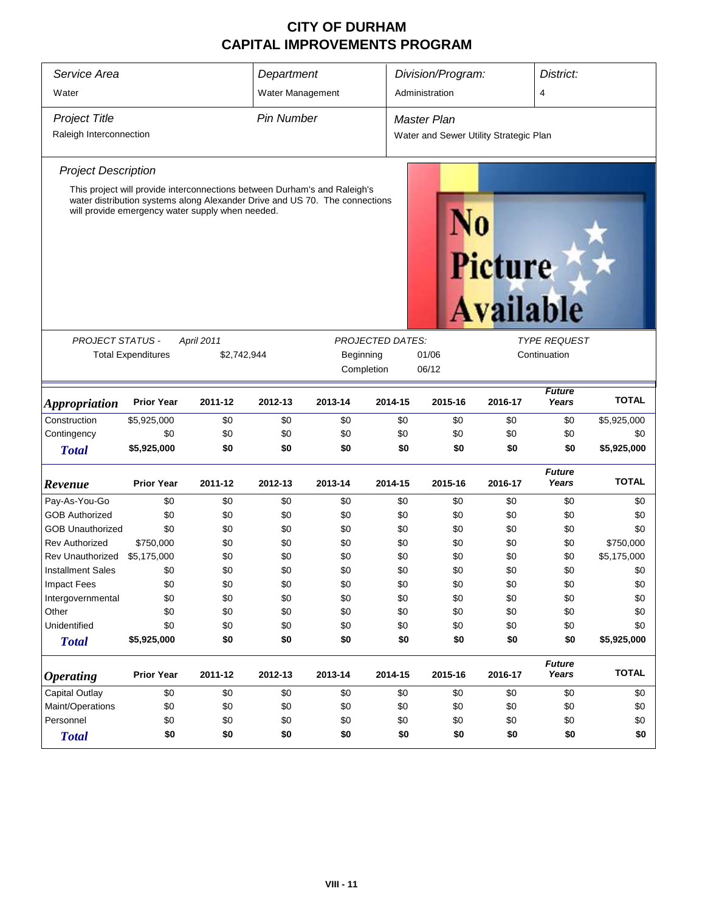| Service Area<br>Water       |                           |                                                                                                                                                                                                              | Department<br>Water Management |                                                             |         | Division/Program:<br>Administration    |                                    |                        | District:<br>$\overline{4}$ |  |
|-----------------------------|---------------------------|--------------------------------------------------------------------------------------------------------------------------------------------------------------------------------------------------------------|--------------------------------|-------------------------------------------------------------|---------|----------------------------------------|------------------------------------|------------------------|-----------------------------|--|
|                             |                           |                                                                                                                                                                                                              |                                |                                                             |         |                                        |                                    |                        |                             |  |
| <b>Project Title</b>        |                           |                                                                                                                                                                                                              | <b>Pin Number</b>              |                                                             |         | <b>Master Plan</b>                     |                                    |                        |                             |  |
| Raleigh Interconnection     |                           |                                                                                                                                                                                                              |                                |                                                             |         | Water and Sewer Utility Strategic Plan |                                    |                        |                             |  |
| <b>Project Description</b>  |                           |                                                                                                                                                                                                              |                                |                                                             |         |                                        |                                    |                        |                             |  |
|                             |                           | This project will provide interconnections between Durham's and Raleigh's<br>water distribution systems along Alexander Drive and US 70. The connections<br>will provide emergency water supply when needed. |                                |                                                             |         |                                        | <b>Picture</b><br><b>Available</b> |                        |                             |  |
|                             |                           |                                                                                                                                                                                                              |                                |                                                             |         |                                        |                                    |                        |                             |  |
| PROJECT STATUS -            |                           | April 2011                                                                                                                                                                                                   |                                | <b>PROJECTED DATES:</b><br><b>TYPE REQUEST</b><br>Beginning |         |                                        |                                    |                        |                             |  |
|                             | <b>Total Expenditures</b> | \$2,742,944                                                                                                                                                                                                  |                                |                                                             |         | 01/06                                  | Continuation                       |                        |                             |  |
|                             |                           |                                                                                                                                                                                                              |                                | Completion                                                  |         | 06/12                                  |                                    |                        |                             |  |
| <i><b>Appropriation</b></i> | <b>Prior Year</b>         | 2011-12                                                                                                                                                                                                      | 2012-13                        | 2013-14                                                     | 2014-15 | 2015-16                                | 2016-17                            | <b>Future</b><br>Years | <b>TOTAL</b>                |  |
| Construction                | \$5,925,000               | \$0                                                                                                                                                                                                          | \$0                            | \$0                                                         | \$0     | \$0                                    | \$0                                | \$0                    | \$5,925,000                 |  |
| Contingency                 | \$0                       | \$0                                                                                                                                                                                                          | \$0                            | \$0                                                         | \$0     | \$0                                    | \$0                                | \$0                    | \$0                         |  |
| <b>Total</b>                | \$5,925,000               | \$0                                                                                                                                                                                                          | \$0                            | \$0                                                         | \$0     | \$0                                    | \$0                                | \$0                    | \$5,925,000                 |  |
| Revenue                     | <b>Prior Year</b>         | 2011-12                                                                                                                                                                                                      | 2012-13                        | 2013-14                                                     | 2014-15 | 2015-16                                | 2016-17                            | <b>Future</b><br>Years | <b>TOTAL</b>                |  |
| Pay-As-You-Go               | \$0                       | \$0                                                                                                                                                                                                          | \$0                            | \$0                                                         | \$0     | \$0                                    | \$0                                | \$0                    | \$0                         |  |
| <b>GOB Authorized</b>       | \$0                       | \$0                                                                                                                                                                                                          | \$0                            | \$0                                                         | \$0     | \$0                                    | \$0                                | \$0                    | \$0                         |  |
| <b>GOB Unauthorized</b>     | \$0                       | \$0                                                                                                                                                                                                          | \$0                            | \$0                                                         | \$0     | \$0                                    | \$0                                | \$0                    | \$0                         |  |
| <b>Rev Authorized</b>       | \$750,000                 | \$0                                                                                                                                                                                                          | \$0                            | \$0                                                         | \$0     | \$0                                    | \$0                                | \$0                    | \$750,000                   |  |
| Rev Unauthorized            | \$5,175,000               | \$0                                                                                                                                                                                                          | \$0                            | \$0                                                         | \$0     | \$0                                    | \$0                                | \$0                    | \$5,175,000                 |  |
| <b>Installment Sales</b>    | \$0                       | \$0                                                                                                                                                                                                          | \$0                            | \$0                                                         | \$0     | \$0                                    | \$0                                | \$0                    | \$0                         |  |
| <b>Impact Fees</b>          | \$0                       | \$0                                                                                                                                                                                                          | \$0                            | \$0                                                         | \$0     | \$0                                    | \$0                                | \$0                    | \$0                         |  |
| Intergovernmental           | \$0                       | \$0                                                                                                                                                                                                          | \$0                            | \$0                                                         | \$0     | \$0                                    | \$0                                | \$0                    | \$0                         |  |
| Other                       | \$0                       | \$0                                                                                                                                                                                                          | \$0                            | \$0                                                         | \$0     | \$0                                    | \$0                                | \$0                    | \$0                         |  |
| Unidentified                | \$0                       | \$0                                                                                                                                                                                                          | \$0                            | \$0                                                         | \$0     | \$0                                    | \$0                                | \$0                    | \$0                         |  |
| <b>Total</b>                | \$5,925,000               | \$0                                                                                                                                                                                                          | \$0                            | \$0                                                         | \$0     | \$0                                    | \$0                                | \$0                    | \$5,925,000                 |  |
| <b>Operating</b>            | <b>Prior Year</b>         | 2011-12                                                                                                                                                                                                      | 2012-13                        | 2013-14                                                     | 2014-15 | 2015-16                                | 2016-17                            | <b>Future</b><br>Years | <b>TOTAL</b>                |  |
| Capital Outlay              | \$0                       | \$0                                                                                                                                                                                                          | \$0                            | \$0                                                         | \$0     | \$0                                    | \$0                                | \$0                    | \$0                         |  |
| Maint/Operations            | \$0                       | \$0                                                                                                                                                                                                          | \$0                            | \$0                                                         | \$0     | \$0                                    | \$0                                | \$0                    | \$0                         |  |
| Personnel                   | \$0                       | \$0                                                                                                                                                                                                          | \$0                            | \$0                                                         | \$0     | \$0                                    | \$0                                | \$0                    | \$0                         |  |
| <b>Total</b>                | \$0                       | \$0                                                                                                                                                                                                          | \$0                            | \$0                                                         | \$0     | \$0                                    | \$0                                | \$0                    | \$0                         |  |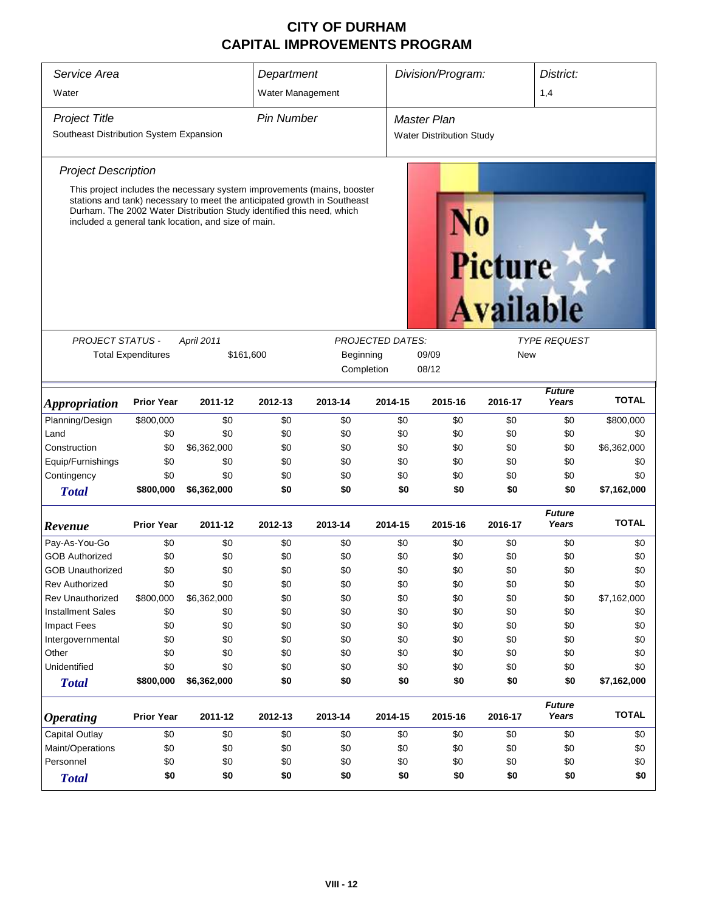| Service Area                                                    |                           |                                                                                                                                                                                                                                                                                     | Department        |                         |                         | Division/Program:                                     |                             |                        | District:    |  |
|-----------------------------------------------------------------|---------------------------|-------------------------------------------------------------------------------------------------------------------------------------------------------------------------------------------------------------------------------------------------------------------------------------|-------------------|-------------------------|-------------------------|-------------------------------------------------------|-----------------------------|------------------------|--------------|--|
| Water                                                           |                           |                                                                                                                                                                                                                                                                                     | Water Management  |                         |                         |                                                       |                             | 1,4                    |              |  |
| <b>Project Title</b><br>Southeast Distribution System Expansion |                           |                                                                                                                                                                                                                                                                                     | <b>Pin Number</b> |                         |                         | <b>Master Plan</b><br><b>Water Distribution Study</b> |                             |                        |              |  |
| <b>Project Description</b>                                      |                           |                                                                                                                                                                                                                                                                                     |                   |                         |                         |                                                       |                             |                        |              |  |
|                                                                 |                           | This project includes the necessary system improvements (mains, booster<br>stations and tank) necessary to meet the anticipated growth in Southeast<br>Durham. The 2002 Water Distribution Study identified this need, which<br>included a general tank location, and size of main. |                   |                         |                         |                                                       | Picture<br><b>Available</b> |                        |              |  |
| <b>PROJECT STATUS -</b>                                         |                           | <b>April 2011</b>                                                                                                                                                                                                                                                                   |                   |                         | <b>PROJECTED DATES:</b> |                                                       |                             | <b>TYPE REQUEST</b>    |              |  |
|                                                                 | <b>Total Expenditures</b> | \$161,600                                                                                                                                                                                                                                                                           |                   | Beginning<br>Completion |                         | 09/09<br>08/12                                        | New                         |                        |              |  |
| <b>Appropriation</b>                                            | <b>Prior Year</b>         | 2011-12                                                                                                                                                                                                                                                                             | 2012-13           | 2013-14                 | 2014-15                 | 2015-16                                               | 2016-17                     | <b>Future</b><br>Years | <b>TOTAL</b> |  |
| Planning/Design                                                 | \$800,000                 | \$0                                                                                                                                                                                                                                                                                 | \$0               | \$0                     | \$0                     | \$0                                                   | \$0                         | \$0                    | \$800,000    |  |
| Land                                                            | \$0                       | \$0                                                                                                                                                                                                                                                                                 | \$0               | \$0                     | \$0                     | \$0                                                   | \$0                         | \$0                    | \$0          |  |
| Construction                                                    | \$0                       | \$6,362,000                                                                                                                                                                                                                                                                         | \$0               | \$0                     | \$0                     | \$0                                                   | \$0                         | \$0                    | \$6,362,000  |  |
| Equip/Furnishings                                               | \$0                       | \$0                                                                                                                                                                                                                                                                                 | \$0               | \$0                     | \$0                     | \$0                                                   | \$0                         | \$0                    | \$0          |  |
| Contingency                                                     | \$0                       | \$0                                                                                                                                                                                                                                                                                 | \$0               | \$0                     | \$0                     | \$0                                                   | \$0                         | \$0                    | \$0          |  |
| <b>Total</b>                                                    | \$800,000                 | \$6,362,000                                                                                                                                                                                                                                                                         | \$0               | \$0                     | \$0                     | \$0                                                   | \$0                         | \$0                    | \$7,162,000  |  |
| Revenue                                                         | <b>Prior Year</b>         | 2011-12                                                                                                                                                                                                                                                                             | 2012-13           | 2013-14                 | 2014-15                 | 2015-16                                               | 2016-17                     | <b>Future</b><br>Years | <b>TOTAL</b> |  |
| Pay-As-You-Go                                                   | \$0                       | \$0                                                                                                                                                                                                                                                                                 | \$0               | \$0                     | \$0                     | \$0                                                   | \$0                         | \$0                    | \$0          |  |
| <b>GOB Authorized</b>                                           | \$0                       | \$0                                                                                                                                                                                                                                                                                 | \$0               | \$0                     | \$0                     | \$0                                                   | \$0                         | \$0                    | \$0          |  |
| <b>GOB Unauthorized</b>                                         | \$0                       | \$0                                                                                                                                                                                                                                                                                 | \$0               | \$0                     | \$0                     | \$0                                                   | \$0                         | \$0                    | \$0          |  |
| <b>Rev Authorized</b>                                           | \$0                       | \$0                                                                                                                                                                                                                                                                                 | \$0               | \$0                     | \$0                     | \$0                                                   | \$0                         | \$0                    | \$0          |  |
| <b>Rev Unauthorized</b>                                         | \$800,000                 | \$6,362,000                                                                                                                                                                                                                                                                         | \$0               | \$0                     | \$0                     | \$0                                                   | \$0                         | \$0                    | \$7,162,000  |  |
| <b>Installment Sales</b>                                        | \$0                       | \$0                                                                                                                                                                                                                                                                                 | \$0               | \$0                     | \$0                     | \$0                                                   | \$0                         | \$0                    | \$0          |  |
| <b>Impact Fees</b>                                              | \$0                       | \$0                                                                                                                                                                                                                                                                                 | \$0               | \$0                     | \$0                     | \$0                                                   | \$0                         | \$0                    | \$0          |  |
| Intergovernmental                                               | \$0                       | \$0                                                                                                                                                                                                                                                                                 | \$0               | \$0                     | \$0                     | \$0                                                   | \$0                         | \$0                    | \$0          |  |
| Other                                                           | \$0                       | \$0                                                                                                                                                                                                                                                                                 | \$0               | \$0                     | \$0                     | \$0                                                   | \$0                         | \$0                    | \$0          |  |
| Unidentified                                                    | \$0                       | \$0                                                                                                                                                                                                                                                                                 | \$0               | \$0                     | \$0                     | \$0                                                   | \$0                         | \$0                    | \$0          |  |
| <b>Total</b>                                                    | \$800,000                 | \$6,362,000                                                                                                                                                                                                                                                                         | \$0               | \$0                     | \$0                     | \$0                                                   | \$0                         | \$0                    | \$7,162,000  |  |
| <b>Operating</b>                                                | <b>Prior Year</b>         | 2011-12                                                                                                                                                                                                                                                                             | 2012-13           | 2013-14                 | 2014-15                 | 2015-16                                               | 2016-17                     | <b>Future</b><br>Years | <b>TOTAL</b> |  |
| <b>Capital Outlay</b>                                           | \$0                       | \$0                                                                                                                                                                                                                                                                                 | \$0               | \$0                     | \$0                     | \$0                                                   | \$0                         | \$0                    | \$0          |  |
| Maint/Operations                                                | \$0                       | \$0                                                                                                                                                                                                                                                                                 | \$0               | \$0                     | \$0                     | \$0                                                   | \$0                         | \$0                    | \$0          |  |
| Personnel                                                       | \$0                       | \$0                                                                                                                                                                                                                                                                                 | \$0               | \$0                     | \$0                     | \$0                                                   | \$0                         | \$0                    | \$0          |  |
| <b>Total</b>                                                    | \$0                       | \$0                                                                                                                                                                                                                                                                                 | \$0               | \$0                     | \$0                     | \$0                                                   | \$0                         | \$0                    | \$0          |  |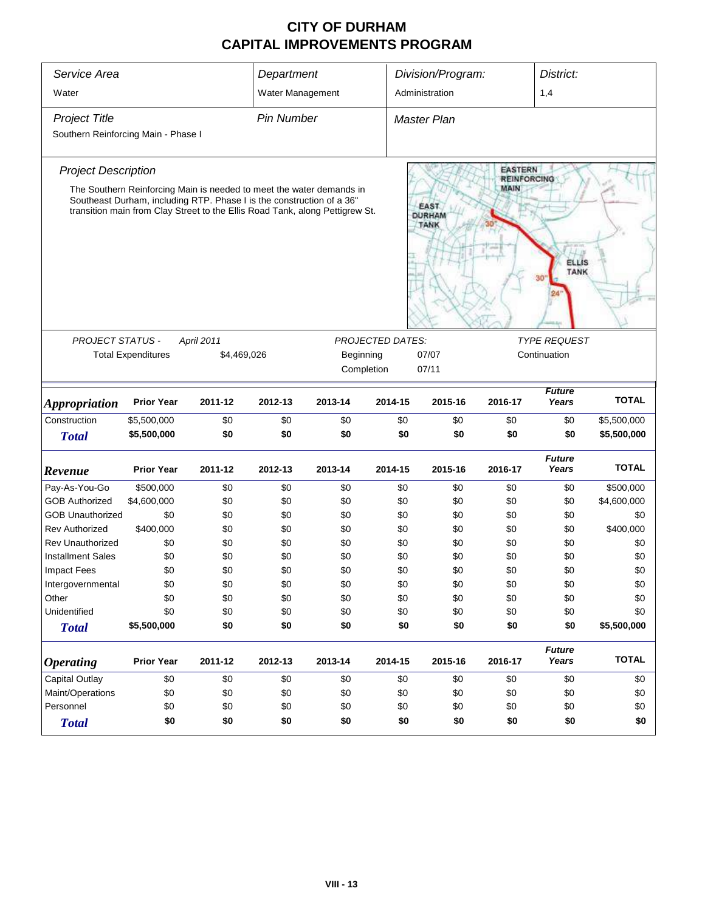| Service Area<br>Water                       |                            |                                                                                                                                                                                                                               | Department<br>Water Management |                                                                                    |                         | Division/Program:<br>Administration |                                      |                        |                            |
|---------------------------------------------|----------------------------|-------------------------------------------------------------------------------------------------------------------------------------------------------------------------------------------------------------------------------|--------------------------------|------------------------------------------------------------------------------------|-------------------------|-------------------------------------|--------------------------------------|------------------------|----------------------------|
| <b>Project Title</b>                        |                            |                                                                                                                                                                                                                               | <b>Pin Number</b>              |                                                                                    |                         | <b>Master Plan</b>                  |                                      |                        |                            |
| Southern Reinforcing Main - Phase I         |                            |                                                                                                                                                                                                                               |                                |                                                                                    |                         |                                     |                                      |                        |                            |
| <b>Project Description</b>                  |                            |                                                                                                                                                                                                                               |                                |                                                                                    |                         |                                     | <b>EASTERN</b><br><b>REINFORCING</b> |                        |                            |
|                                             |                            | The Southern Reinforcing Main is needed to meet the water demands in<br>Southeast Durham, including RTP. Phase I is the construction of a 36"<br>transition main from Clay Street to the Ellis Road Tank, along Pettigrew St. |                                | MAIN<br><b>EAST</b><br><b>DURHAM</b><br><b>TANK</b><br><b>ELLIS</b><br><b>TANK</b> |                         |                                     |                                      |                        |                            |
| PROJECT STATUS -                            |                            | April 2011                                                                                                                                                                                                                    |                                |                                                                                    | <b>PROJECTED DATES:</b> |                                     |                                      | <b>TYPE REQUEST</b>    |                            |
|                                             | <b>Total Expenditures</b>  | \$4,469,026                                                                                                                                                                                                                   |                                | Beginning                                                                          |                         | 07/07                               |                                      | Continuation           |                            |
|                                             |                            |                                                                                                                                                                                                                               |                                |                                                                                    | Completion              | 07/11                               |                                      |                        |                            |
|                                             | <b>Prior Year</b>          | 2011-12                                                                                                                                                                                                                       | 2012-13                        | 2013-14                                                                            | 2014-15                 | 2015-16                             | 2016-17                              | <b>Future</b><br>Years | <b>TOTAL</b>               |
| <i><b>Appropriation</b></i><br>Construction |                            |                                                                                                                                                                                                                               |                                |                                                                                    |                         |                                     |                                      |                        |                            |
| <b>Total</b>                                | \$5,500,000<br>\$5,500,000 | \$0<br>\$0                                                                                                                                                                                                                    | \$0<br>\$0                     | \$0<br>\$0                                                                         | \$0<br>\$0              | \$0<br>\$0                          | \$0<br>\$0                           | \$0<br>\$0             | \$5,500,000<br>\$5,500,000 |
|                                             |                            |                                                                                                                                                                                                                               |                                |                                                                                    |                         |                                     |                                      |                        |                            |
| Revenue                                     | <b>Prior Year</b>          | 2011-12                                                                                                                                                                                                                       | 2012-13                        | 2013-14                                                                            | 2014-15                 | 2015-16                             | 2016-17                              | <b>Future</b><br>Years | <b>TOTAL</b>               |
| Pay-As-You-Go                               | \$500,000                  | \$0                                                                                                                                                                                                                           | \$0                            | \$0                                                                                | \$0                     | \$0                                 | \$0                                  | \$0                    | \$500,000                  |
| <b>GOB Authorized</b>                       | \$4,600,000                | \$0                                                                                                                                                                                                                           | \$0                            | \$0                                                                                | \$0                     | \$0                                 | \$0                                  | \$0                    | \$4,600,000                |
| <b>GOB Unauthorized</b>                     | \$0                        | \$0                                                                                                                                                                                                                           | \$0                            | \$0                                                                                | \$0                     | \$0                                 | \$0                                  | \$0                    | \$0                        |
| <b>Rev Authorized</b>                       | \$400,000                  | \$0                                                                                                                                                                                                                           | \$0                            | \$0                                                                                | \$0                     | \$0                                 | \$0                                  | \$0                    | \$400,000                  |
| <b>Rev Unauthorized</b>                     | \$0                        | \$0                                                                                                                                                                                                                           | \$0                            | \$0                                                                                | \$0                     | \$0                                 | \$0                                  | \$0                    | \$0                        |
| <b>Installment Sales</b>                    | \$0                        | \$0                                                                                                                                                                                                                           | \$0                            | \$0                                                                                | \$0                     | \$0                                 | \$0                                  | \$0                    | \$0                        |
| <b>Impact Fees</b>                          | \$0                        | \$0                                                                                                                                                                                                                           | \$0                            | \$0                                                                                | \$0                     | \$0                                 | \$0                                  | \$0                    | \$0                        |
| Intergovernmental                           | \$0                        | \$0                                                                                                                                                                                                                           | \$0                            | \$0                                                                                | \$0                     | \$0                                 | \$0                                  | \$0                    | \$0                        |
| Other                                       | \$0                        | \$0                                                                                                                                                                                                                           | \$0                            | \$0                                                                                | \$0                     | \$0                                 | \$0                                  | \$0                    | \$0                        |
| Unidentified                                | \$0                        | \$0                                                                                                                                                                                                                           | \$0                            | \$0                                                                                | \$0                     | \$0                                 | \$0                                  | \$0                    | \$0                        |
| <b>Total</b>                                | \$5,500,000                | \$0                                                                                                                                                                                                                           | \$0                            | \$0                                                                                | \$0                     | \$0                                 | \$0                                  | \$0                    | \$5,500,000                |
| <i><b>Operating</b></i>                     | <b>Prior Year</b>          | 2011-12                                                                                                                                                                                                                       | 2012-13                        | 2013-14                                                                            | 2014-15                 | 2015-16                             | 2016-17                              | <b>Future</b><br>Years | <b>TOTAL</b>               |
| Capital Outlay                              | \$0                        | \$0                                                                                                                                                                                                                           | \$0                            | \$0                                                                                | \$0                     | \$0                                 | \$0                                  | \$0                    | \$0                        |
| Maint/Operations                            | \$0                        | \$0                                                                                                                                                                                                                           | \$0                            | \$0                                                                                | \$0                     | \$0                                 | \$0                                  | \$0                    | \$0                        |
| Personnel                                   | \$0                        | \$0                                                                                                                                                                                                                           | \$0                            | \$0                                                                                | \$0                     | \$0                                 | \$0                                  | \$0                    | \$0                        |
| <b>Total</b>                                | \$0                        | \$0                                                                                                                                                                                                                           | \$0                            | \$0                                                                                | \$0                     | \$0                                 | \$0                                  | \$0                    | \$0                        |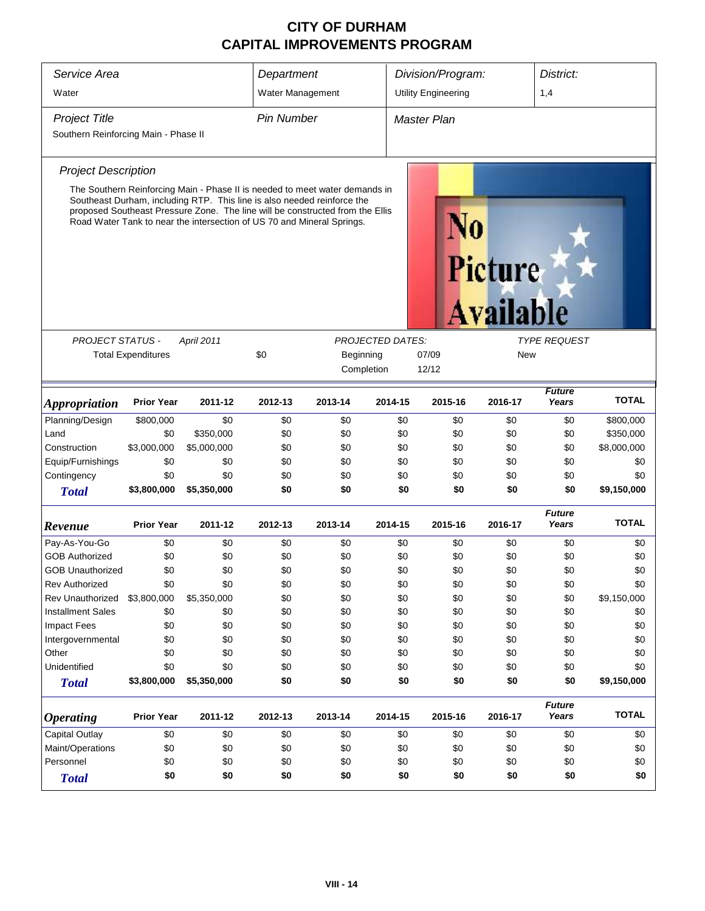| Service Area<br>Water                | Department<br>Water Management                       |                                                                                                                                                                                                                                    |                   | Division/Program:<br><b>Utility Engineering</b> |                         | District:<br>1,4   |                  |                        |              |
|--------------------------------------|------------------------------------------------------|------------------------------------------------------------------------------------------------------------------------------------------------------------------------------------------------------------------------------------|-------------------|-------------------------------------------------|-------------------------|--------------------|------------------|------------------------|--------------|
|                                      |                                                      |                                                                                                                                                                                                                                    |                   |                                                 |                         |                    |                  |                        |              |
| <b>Project Title</b>                 |                                                      |                                                                                                                                                                                                                                    | <b>Pin Number</b> |                                                 |                         | <b>Master Plan</b> |                  |                        |              |
| Southern Reinforcing Main - Phase II |                                                      |                                                                                                                                                                                                                                    |                   |                                                 |                         |                    |                  |                        |              |
| <b>Project Description</b>           |                                                      |                                                                                                                                                                                                                                    |                   |                                                 |                         |                    |                  |                        |              |
|                                      |                                                      | The Southern Reinforcing Main - Phase II is needed to meet water demands in                                                                                                                                                        |                   |                                                 |                         |                    |                  |                        |              |
|                                      |                                                      | Southeast Durham, including RTP. This line is also needed reinforce the<br>proposed Southeast Pressure Zone. The line will be constructed from the Ellis<br>Road Water Tank to near the intersection of US 70 and Mineral Springs. |                   |                                                 |                         |                    | Picture          |                        |              |
|                                      |                                                      |                                                                                                                                                                                                                                    |                   |                                                 |                         |                    | <b>Available</b> |                        |              |
| <b>PROJECT STATUS -</b>              |                                                      | April 2011                                                                                                                                                                                                                         |                   |                                                 | <b>PROJECTED DATES:</b> |                    |                  | <b>TYPE REQUEST</b>    |              |
|                                      | <b>Total Expenditures</b>                            |                                                                                                                                                                                                                                    | \$0               | Beginning                                       |                         | 07/09              | New              |                        |              |
|                                      |                                                      |                                                                                                                                                                                                                                    |                   | Completion                                      |                         | 12/12              |                  |                        |              |
| <b>Appropriation</b>                 | <b>Prior Year</b>                                    | 2011-12                                                                                                                                                                                                                            | 2012-13           | 2013-14                                         | 2014-15                 | 2015-16            | 2016-17          | <b>Future</b><br>Years | <b>TOTAL</b> |
| Planning/Design                      | \$800,000                                            | \$0                                                                                                                                                                                                                                | \$0               | \$0                                             | \$0                     | \$0                | \$0              | \$0                    | \$800,000    |
| Land                                 | \$0                                                  | \$350,000                                                                                                                                                                                                                          | \$0               | \$0                                             | \$0                     | \$0                | \$0              | \$0                    | \$350,000    |
| Construction                         | \$3,000,000                                          | \$5,000,000                                                                                                                                                                                                                        | \$0               | \$0                                             | \$0                     | \$0                | \$0              | \$0                    | \$8,000,000  |
| Equip/Furnishings                    | \$0                                                  | \$0                                                                                                                                                                                                                                | \$0               | \$0                                             | \$0                     | \$0                | \$0              | \$0                    | \$0          |
| Contingency                          | \$0                                                  | \$0                                                                                                                                                                                                                                | \$0               | \$0                                             | \$0                     | \$0                | \$0              | \$0                    | \$0          |
| <b>Total</b>                         | \$3,800,000                                          | \$5,350,000                                                                                                                                                                                                                        | \$0               | \$0                                             | \$0                     | \$0                | \$0              | \$0                    | \$9,150,000  |
| Revenue                              | <b>Prior Year</b>                                    | 2011-12                                                                                                                                                                                                                            | 2012-13           | 2013-14                                         | 2014-15                 | 2015-16            | 2016-17          | <b>Future</b><br>Years | <b>TOTAL</b> |
| Pay-As-You-Go                        | \$0                                                  | \$0                                                                                                                                                                                                                                | \$0               | \$0                                             | \$0                     | \$0                | \$0              | \$0                    | \$0          |
| <b>GOB Authorized</b>                | \$0                                                  | \$0                                                                                                                                                                                                                                | \$0               | \$0                                             | \$0                     | \$0                | \$0              | \$0                    | \$0          |
| <b>GOB Unauthorized</b>              | \$0                                                  | \$0                                                                                                                                                                                                                                | \$0               | \$0                                             | \$0                     | \$0                | \$0              | \$0                    | \$0          |
| <b>Rev Authorized</b>                | \$0                                                  | \$0                                                                                                                                                                                                                                | \$0               | \$0                                             | \$0                     | \$0                | \$0              | \$0                    | \$0          |
| Rev Unauthorized                     | \$3,800,000                                          | \$5,350,000                                                                                                                                                                                                                        | \$0               | \$0                                             | \$0                     | \$0                | \$0              | \$0                    | \$9,150,000  |
| <b>Installment Sales</b>             | \$0                                                  | \$0                                                                                                                                                                                                                                | \$0               | \$0                                             | \$0                     | \$0                | \$0              | \$0                    | \$0          |
| Impact Fees                          | \$0                                                  | \$0                                                                                                                                                                                                                                | \$0               | \$0                                             | \$0                     | \$0                | \$0              | \$0                    | \$0          |
| Intergovernmental                    | \$0                                                  | \$0                                                                                                                                                                                                                                | \$0               | \$0                                             | \$0                     | \$0                | \$0              | \$0                    | \$0          |
| Other                                | \$0                                                  | \$0                                                                                                                                                                                                                                | \$0               | \$0                                             | \$0                     | \$0                | \$0              | \$0                    | \$0          |
| Unidentified                         | \$0                                                  | \$0                                                                                                                                                                                                                                | \$0               | \$0                                             | \$0                     | \$0                | \$0              | \$0                    | \$0          |
| <b>Total</b>                         | \$3,800,000                                          | \$5,350,000                                                                                                                                                                                                                        | \$0               | \$0                                             | \$0                     | \$0                | \$0              | \$0                    | \$9,150,000  |
| <b>Operating</b>                     | <b>Prior Year</b>                                    | 2011-12                                                                                                                                                                                                                            | 2012-13           | 2013-14                                         | 2014-15                 | 2015-16            | 2016-17          | <b>Future</b><br>Years | <b>TOTAL</b> |
| <b>Capital Outlay</b>                | \$0                                                  | \$0                                                                                                                                                                                                                                | \$0               | \$0                                             | \$0                     | \$0                | \$0              | \$0                    | \$0          |
| Maint/Operations                     | \$0                                                  | \$0                                                                                                                                                                                                                                | \$0               | \$0                                             | \$0                     | \$0                | \$0              | \$0                    | \$0          |
| Personnel                            | \$0                                                  | \$0                                                                                                                                                                                                                                | \$0               | \$0                                             | \$0                     | \$0                | \$0              | \$0                    | \$0          |
| <b>Total</b>                         | \$0<br>\$0<br>\$0<br>\$0<br>\$0<br>\$0<br>\$0<br>\$0 |                                                                                                                                                                                                                                    |                   |                                                 |                         |                    |                  |                        | \$0          |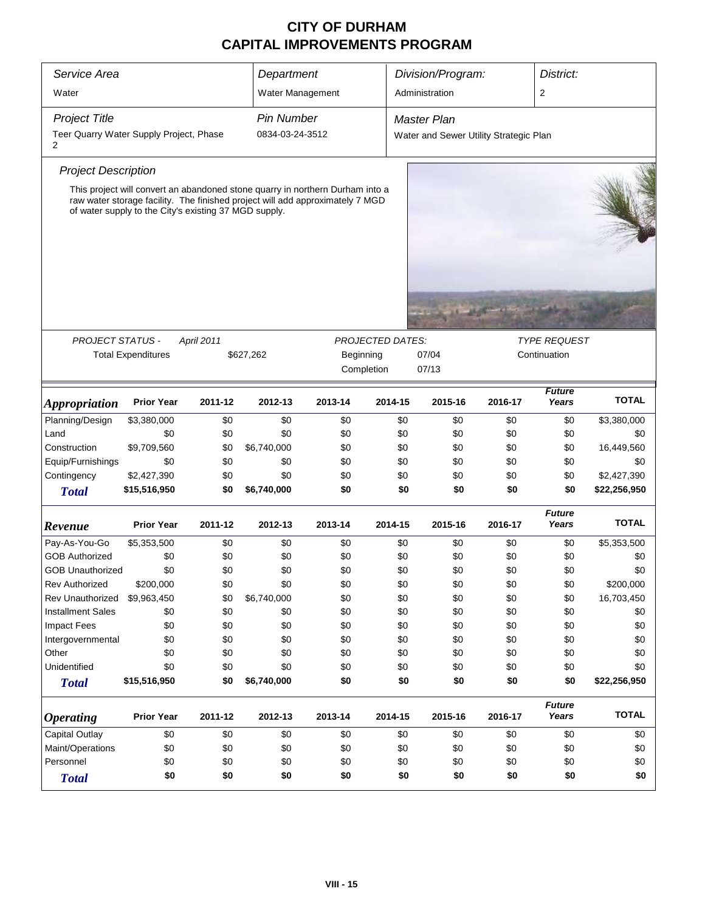| Service Area                                 |                                                                                                                                                                                                                         |            |                                                        | Department |                         | Division/Program:                      |         |                        | District:    |  |
|----------------------------------------------|-------------------------------------------------------------------------------------------------------------------------------------------------------------------------------------------------------------------------|------------|--------------------------------------------------------|------------|-------------------------|----------------------------------------|---------|------------------------|--------------|--|
| Water                                        |                                                                                                                                                                                                                         |            | Water Management                                       |            |                         | Administration                         |         | 2                      |              |  |
| <b>Project Title</b>                         |                                                                                                                                                                                                                         |            | <b>Pin Number</b>                                      |            |                         | <b>Master Plan</b>                     |         |                        |              |  |
| Teer Quarry Water Supply Project, Phase<br>2 |                                                                                                                                                                                                                         |            | 0834-03-24-3512                                        |            |                         | Water and Sewer Utility Strategic Plan |         |                        |              |  |
| <b>Project Description</b>                   |                                                                                                                                                                                                                         |            |                                                        |            |                         |                                        |         |                        |              |  |
|                                              | This project will convert an abandoned stone quarry in northern Durham into a<br>raw water storage facility. The finished project will add approximately 7 MGD<br>of water supply to the City's existing 37 MGD supply. |            |                                                        |            |                         |                                        |         |                        |              |  |
|                                              |                                                                                                                                                                                                                         |            |                                                        |            |                         |                                        |         |                        |              |  |
| <b>PROJECT STATUS -</b>                      |                                                                                                                                                                                                                         | April 2011 |                                                        |            | <b>PROJECTED DATES:</b> |                                        |         | <b>TYPE REQUEST</b>    |              |  |
|                                              | <b>Total Expenditures</b>                                                                                                                                                                                               |            | 07/04<br>\$627,262<br>Beginning<br>Completion<br>07/13 |            |                         |                                        |         | Continuation           |              |  |
| Appropriation                                | <b>Prior Year</b>                                                                                                                                                                                                       | 2011-12    | 2012-13                                                | 2013-14    | 2014-15                 | 2015-16                                | 2016-17 | <b>Future</b><br>Years | <b>TOTAL</b> |  |
| Planning/Design                              | \$3,380,000                                                                                                                                                                                                             | \$0        | \$0                                                    | \$0        | \$0                     | \$0                                    | \$0     | \$0                    | \$3,380,000  |  |
| Land                                         | \$0                                                                                                                                                                                                                     | \$0        | \$0                                                    | \$0        | \$0                     | \$0                                    | \$0     | \$0                    | \$0          |  |
| Construction                                 | \$9,709,560                                                                                                                                                                                                             | \$0        | \$6,740,000                                            | \$0        | \$0                     | \$0                                    | \$0     | \$0                    | 16,449,560   |  |
| Equip/Furnishings                            | \$0                                                                                                                                                                                                                     | \$0        | \$0                                                    | \$0        | \$0                     | \$0                                    | \$0     | \$0                    | \$0          |  |
| Contingency                                  | \$2,427,390                                                                                                                                                                                                             | \$0        | \$0                                                    | \$0        | \$0                     | \$0                                    | \$0     | \$0                    | \$2,427,390  |  |
| <b>Total</b>                                 | \$15,516,950                                                                                                                                                                                                            | \$0        | \$6,740,000                                            | \$0        | \$0                     | \$0                                    | \$0     | \$0                    | \$22,256,950 |  |
| Revenue                                      | <b>Prior Year</b>                                                                                                                                                                                                       | 2011-12    | 2012-13                                                | 2013-14    | 2014-15                 | 2015-16                                | 2016-17 | <b>Future</b><br>Years | <b>TOTAL</b> |  |
| Pay-As-You-Go                                | \$5,353,500                                                                                                                                                                                                             | \$0        | \$0                                                    | \$0        | \$0                     | \$0                                    | \$0     | \$0                    | \$5,353,500  |  |
| <b>GOB Authorized</b>                        | \$0                                                                                                                                                                                                                     | \$0        | \$0                                                    | \$0        | \$0                     | \$0                                    | \$0     | \$0                    | \$0          |  |
| <b>GOB Unauthorized</b>                      | \$0                                                                                                                                                                                                                     | \$0        | \$0                                                    | \$0        | \$0                     | \$0                                    | \$0     | \$0                    | \$0          |  |
| <b>Rev Authorized</b>                        | \$200,000                                                                                                                                                                                                               | \$0        | \$0                                                    | \$0        | \$0                     | \$0                                    | \$0     | \$0                    | \$200,000    |  |
| Rev Unauthorized                             | \$9,963,450                                                                                                                                                                                                             | \$0        | \$6,740,000                                            | \$0        | \$0                     | \$0                                    | \$0     | \$0                    | 16,703,450   |  |
| <b>Installment Sales</b>                     | \$0                                                                                                                                                                                                                     | \$0        | \$0                                                    | \$0        | \$0                     | \$0                                    | \$0     | \$0                    | \$0          |  |
| <b>Impact Fees</b>                           | \$0                                                                                                                                                                                                                     | \$0        | \$0                                                    | \$0        | \$0                     | \$0                                    | \$0     | \$0                    | \$0          |  |
| Intergovernmental                            | \$0                                                                                                                                                                                                                     | \$0        | \$0                                                    | \$0        | \$0                     | \$0                                    | \$0     | \$0                    | \$0          |  |
| Other                                        | \$0                                                                                                                                                                                                                     | \$0        | \$0                                                    | \$0        | \$0                     | \$0                                    | \$0     | \$0                    | \$0          |  |
| Unidentified                                 | \$0                                                                                                                                                                                                                     | \$0        | \$0                                                    | \$0        | \$0                     | \$0                                    | \$0     | \$0                    | \$0          |  |
| <b>Total</b>                                 | \$15,516,950                                                                                                                                                                                                            | \$0        | \$6,740,000                                            | \$0        | \$0                     | \$0                                    | \$0     | \$0                    | \$22,256,950 |  |
| <b>Operating</b>                             | <b>Prior Year</b>                                                                                                                                                                                                       | 2011-12    | 2012-13                                                | 2013-14    | 2014-15                 | 2015-16                                | 2016-17 | <b>Future</b><br>Years | <b>TOTAL</b> |  |
| <b>Capital Outlay</b>                        | \$0                                                                                                                                                                                                                     | \$0        | \$0                                                    | \$0        | \$0                     | \$0                                    | \$0     | \$0                    | \$0          |  |
| Maint/Operations                             | \$0                                                                                                                                                                                                                     | \$0        | \$0                                                    | \$0        | \$0                     | \$0                                    | \$0     | \$0                    | \$0          |  |
| Personnel                                    | \$0                                                                                                                                                                                                                     | \$0        | \$0                                                    | \$0        | \$0                     | \$0                                    | \$0     | \$0                    | \$0          |  |
| <b>Total</b>                                 | \$0                                                                                                                                                                                                                     | \$0        | \$0                                                    | \$0        | \$0                     | \$0                                    | \$0     | \$0                    | \$0          |  |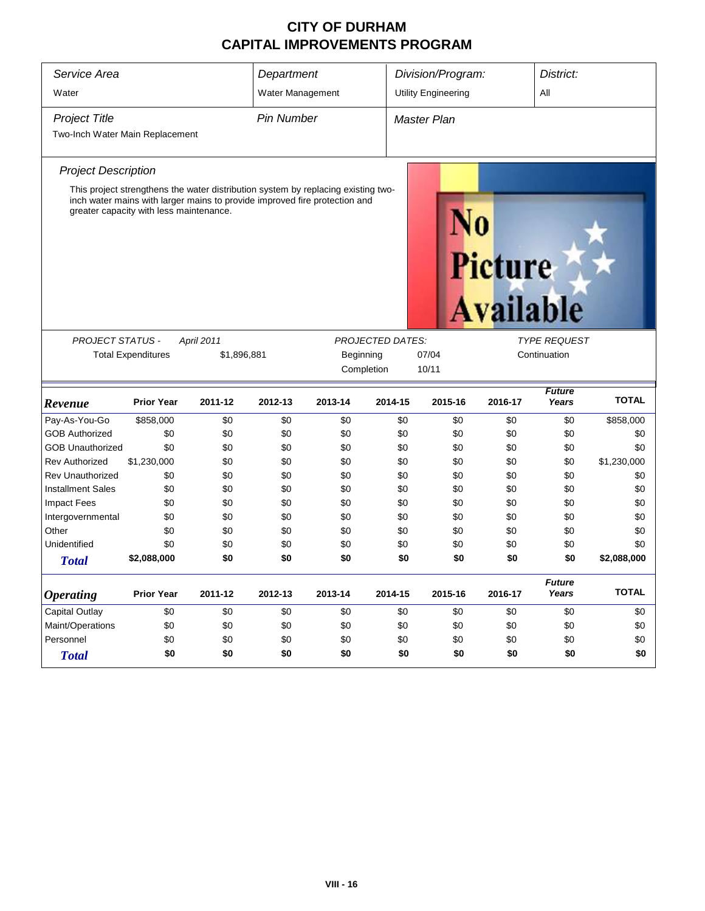| Service Area                                                                                                                                                                                                                                     | Department                |                                               |                   | Division/Program: |                         |                            | District: |                        |              |  |
|--------------------------------------------------------------------------------------------------------------------------------------------------------------------------------------------------------------------------------------------------|---------------------------|-----------------------------------------------|-------------------|-------------------|-------------------------|----------------------------|-----------|------------------------|--------------|--|
| Water                                                                                                                                                                                                                                            |                           |                                               | Water Management  |                   |                         | <b>Utility Engineering</b> |           | All                    |              |  |
| <b>Project Title</b><br>Two-Inch Water Main Replacement                                                                                                                                                                                          |                           |                                               | <b>Pin Number</b> |                   |                         | <b>Master Plan</b>         |           |                        |              |  |
| <b>Project Description</b>                                                                                                                                                                                                                       |                           |                                               |                   |                   |                         |                            |           |                        |              |  |
| This project strengthens the water distribution system by replacing existing two-<br>inch water mains with larger mains to provide improved fire protection and<br>greater capacity with less maintenance.<br><b>Picture</b><br><b>Available</b> |                           |                                               |                   |                   |                         |                            |           |                        |              |  |
| <b>PROJECT STATUS -</b>                                                                                                                                                                                                                          |                           | April 2011                                    |                   |                   | <b>PROJECTED DATES:</b> |                            |           | <b>TYPE REQUEST</b>    |              |  |
|                                                                                                                                                                                                                                                  | <b>Total Expenditures</b> | \$1,896,881                                   |                   | Beginning         |                         | 07/04                      |           | Continuation           |              |  |
|                                                                                                                                                                                                                                                  |                           |                                               |                   |                   | Completion              | 10/11                      |           |                        |              |  |
| Revenue                                                                                                                                                                                                                                          | <b>Prior Year</b>         | 2011-12                                       | 2012-13           | 2013-14           | 2014-15                 | 2015-16                    | 2016-17   | <b>Future</b><br>Years | <b>TOTAL</b> |  |
| Pay-As-You-Go                                                                                                                                                                                                                                    | \$858,000                 | \$0                                           | \$0               | \$0               | \$0                     | \$0                        | \$0       | \$0                    | \$858,000    |  |
| <b>GOB Authorized</b>                                                                                                                                                                                                                            | \$0                       | \$0                                           | \$0               | \$0               | \$0                     | \$0                        | \$0       | \$0                    | \$0          |  |
| <b>GOB Unauthorized</b>                                                                                                                                                                                                                          | \$0                       | \$0                                           | \$0               | \$0               | \$0                     | \$0                        | \$0       | \$0                    | \$0          |  |
| <b>Rev Authorized</b>                                                                                                                                                                                                                            | \$1,230,000               | \$0                                           | \$0               | \$0               | \$0                     | \$0                        | \$0       | \$0                    | \$1,230,000  |  |
| <b>Rev Unauthorized</b>                                                                                                                                                                                                                          | \$0                       | \$0                                           | \$0               | \$0               | \$0                     | \$0                        | \$0       | \$0                    | \$0          |  |
| <b>Installment Sales</b>                                                                                                                                                                                                                         | \$0                       | \$0                                           | \$0               | \$0               | \$0                     | \$0                        | \$0       | \$0                    | \$0          |  |
| <b>Impact Fees</b>                                                                                                                                                                                                                               | \$0                       | \$0                                           | \$0               | \$0               | \$0                     | \$0                        | \$0       | \$0                    | \$0          |  |
| Intergovernmental                                                                                                                                                                                                                                | \$0                       | \$0                                           | \$0               | \$0               | \$0                     | \$0                        | \$0       | \$0                    | \$0          |  |
| Other                                                                                                                                                                                                                                            | \$0                       | \$0                                           | \$0               | \$0               | \$0                     | \$0                        | \$0       | \$0                    | \$0          |  |
| Unidentified                                                                                                                                                                                                                                     | \$0                       | \$0                                           | \$0               | \$0               | \$0                     | \$0                        | \$0       | \$0                    | \$0          |  |
| <b>Total</b>                                                                                                                                                                                                                                     | \$2,088,000               | \$0                                           | \$0               | \$0               | \$0                     | \$0                        | \$0       | \$0                    | \$2,088,000  |  |
| <b>Operating</b>                                                                                                                                                                                                                                 | <b>Prior Year</b>         | 2011-12                                       | 2012-13           | 2013-14           | 2014-15                 | 2015-16                    | 2016-17   | <b>Future</b><br>Years | <b>TOTAL</b> |  |
| <b>Capital Outlay</b>                                                                                                                                                                                                                            | \$0                       | \$0                                           | \$0               | \$0               | \$0                     | \$0                        | \$0       | \$0                    | \$0          |  |
| Maint/Operations                                                                                                                                                                                                                                 | \$0                       | \$0                                           | \$0               | \$0               | \$0                     | \$0                        | \$0       | \$0                    | \$0          |  |
| Personnel                                                                                                                                                                                                                                        | \$0                       | \$0                                           | \$0               | \$0               | \$0                     | \$0                        | \$0       | \$0                    | \$0          |  |
| <b>Total</b>                                                                                                                                                                                                                                     | \$0                       | \$0<br>\$0<br>\$0<br>\$0<br>\$0<br>\$0<br>\$0 |                   |                   |                         |                            |           |                        |              |  |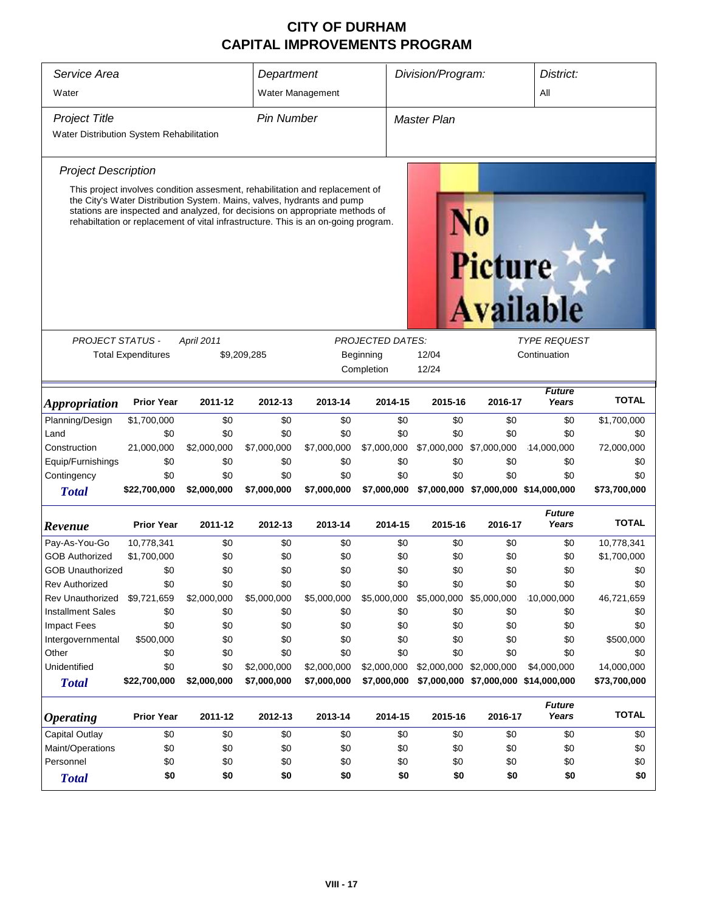| Service Area<br>Water                                                                                                                                                                                                                                                                                                                                              | Department                                                                                                    | Water Management |                   | Division/Program:       |                | District:<br>All   |                         |                                      |              |  |  |
|--------------------------------------------------------------------------------------------------------------------------------------------------------------------------------------------------------------------------------------------------------------------------------------------------------------------------------------------------------------------|---------------------------------------------------------------------------------------------------------------|------------------|-------------------|-------------------------|----------------|--------------------|-------------------------|--------------------------------------|--------------|--|--|
| <b>Project Title</b>                                                                                                                                                                                                                                                                                                                                               |                                                                                                               |                  | <b>Pin Number</b> |                         |                | <b>Master Plan</b> |                         |                                      |              |  |  |
| Water Distribution System Rehabilitation                                                                                                                                                                                                                                                                                                                           |                                                                                                               |                  |                   |                         |                |                    |                         |                                      |              |  |  |
|                                                                                                                                                                                                                                                                                                                                                                    |                                                                                                               |                  |                   |                         |                |                    |                         |                                      |              |  |  |
| <b>Project Description</b>                                                                                                                                                                                                                                                                                                                                         |                                                                                                               |                  |                   |                         |                |                    |                         |                                      |              |  |  |
| This project involves condition assesment, rehabilitation and replacement of<br>the City's Water Distribution System. Mains, valves, hydrants and pump<br>stations are inspected and analyzed, for decisions on appropriate methods of<br>rehabiltation or replacement of vital infrastructure. This is an on-going program.<br><b>Picture</b><br><b>Available</b> |                                                                                                               |                  |                   |                         |                |                    |                         |                                      |              |  |  |
|                                                                                                                                                                                                                                                                                                                                                                    |                                                                                                               |                  |                   |                         |                |                    |                         |                                      |              |  |  |
| PROJECT STATUS -                                                                                                                                                                                                                                                                                                                                                   |                                                                                                               | April 2011       |                   | <b>PROJECTED DATES:</b> |                |                    | <b>TYPE REQUEST</b>     |                                      |              |  |  |
|                                                                                                                                                                                                                                                                                                                                                                    | <b>Total Expenditures</b>                                                                                     |                  | \$9,209,285       | Beginning               | 12/04<br>12/24 |                    | Continuation            |                                      |              |  |  |
| Completion                                                                                                                                                                                                                                                                                                                                                         |                                                                                                               |                  |                   |                         |                |                    |                         |                                      |              |  |  |
| <b>Appropriation</b>                                                                                                                                                                                                                                                                                                                                               | <b>Prior Year</b>                                                                                             | 2011-12          | 2012-13           | 2013-14                 | 2014-15        | 2015-16            | 2016-17                 | <b>Future</b><br>Years               | <b>TOTAL</b> |  |  |
| Planning/Design                                                                                                                                                                                                                                                                                                                                                    | \$1,700,000                                                                                                   | \$0              | \$0               | \$0                     | \$0            | \$0                | \$0                     | \$0                                  | \$1,700,000  |  |  |
| Land                                                                                                                                                                                                                                                                                                                                                               | \$0                                                                                                           | \$0              | \$0               | \$0                     | \$0            | \$0                | \$0                     | \$0                                  | \$0          |  |  |
| Construction                                                                                                                                                                                                                                                                                                                                                       | 21,000,000                                                                                                    | \$2,000,000      | \$7,000,000       | \$7,000,000             | \$7,000,000    | \$7,000,000        | \$7,000,000             | 14,000,000                           | 72,000,000   |  |  |
| Equip/Furnishings                                                                                                                                                                                                                                                                                                                                                  | \$0                                                                                                           | \$0              | \$0               | \$0                     | \$0            | \$0                | \$0                     | \$0                                  | \$0          |  |  |
| Contingency                                                                                                                                                                                                                                                                                                                                                        | \$0                                                                                                           | \$0              | \$0               | \$0                     | \$0            | \$0                | \$0                     | \$0                                  | \$0          |  |  |
| <b>Total</b>                                                                                                                                                                                                                                                                                                                                                       | \$22,700,000                                                                                                  | \$2,000,000      | \$7,000,000       | \$7,000,000             | \$7,000,000    |                    |                         | \$7,000,000 \$7,000,000 \$14,000,000 | \$73,700,000 |  |  |
| Revenue                                                                                                                                                                                                                                                                                                                                                            | <b>Prior Year</b>                                                                                             | 2011-12          | 2012-13           | 2013-14                 | 2014-15        | 2015-16            | 2016-17                 | <b>Future</b><br>Years               | <b>TOTAL</b> |  |  |
| Pay-As-You-Go                                                                                                                                                                                                                                                                                                                                                      | 10,778,341                                                                                                    | \$0              | \$0               | \$0                     | \$0            | \$0                | \$0                     | \$0                                  | 10,778,341   |  |  |
| <b>GOB Authorized</b>                                                                                                                                                                                                                                                                                                                                              | \$1,700,000                                                                                                   | \$0              | \$0               | \$0                     | \$0            | \$0                | \$0                     | \$0                                  | \$1,700,000  |  |  |
| <b>GOB Unauthorized</b>                                                                                                                                                                                                                                                                                                                                            | \$0                                                                                                           | \$0              | \$0               | \$0                     | \$0            | \$0                | \$0                     | \$0                                  | \$0          |  |  |
| <b>Rev Authorized</b>                                                                                                                                                                                                                                                                                                                                              | \$0                                                                                                           | \$0              | \$0               | \$0                     | \$0            | \$0                | \$0                     | \$0                                  | \$0          |  |  |
| <b>Rev Unauthorized</b>                                                                                                                                                                                                                                                                                                                                            | \$9,721,659                                                                                                   | \$2,000,000      | \$5,000,000       | \$5,000,000             | \$5,000,000    |                    | \$5,000,000 \$5,000,000 | 10,000,000                           | 46,721,659   |  |  |
| <b>Installment Sales</b>                                                                                                                                                                                                                                                                                                                                           | \$0                                                                                                           | \$0              | \$0               | \$0                     | \$0            | \$0                | \$0                     | \$0                                  | \$0          |  |  |
| Impact Fees                                                                                                                                                                                                                                                                                                                                                        | \$0                                                                                                           | \$0              | \$0               | \$0                     | \$0            | \$0                | \$0                     | \$0                                  | \$0          |  |  |
| Intergovernmental                                                                                                                                                                                                                                                                                                                                                  | \$500,000                                                                                                     | \$0              | \$0               | \$0                     | \$0            | \$0                | \$0                     | \$0                                  | \$500,000    |  |  |
| Other                                                                                                                                                                                                                                                                                                                                                              | \$0                                                                                                           | \$0              | \$0               | \$0                     | \$0            | \$0                | \$0                     | \$0                                  | \$0          |  |  |
| Unidentified                                                                                                                                                                                                                                                                                                                                                       | \$0                                                                                                           | \$0              | \$2,000,000       | \$2,000,000             | \$2,000,000    |                    | \$2,000,000 \$2,000,000 | \$4,000,000                          | 14,000,000   |  |  |
| <b>Total</b>                                                                                                                                                                                                                                                                                                                                                       | \$22,700,000                                                                                                  | \$2,000,000      | \$7,000,000       | \$7,000,000             | \$7,000,000    |                    |                         | \$7,000,000 \$7,000,000 \$14,000,000 | \$73,700,000 |  |  |
| <i><b>Operating</b></i>                                                                                                                                                                                                                                                                                                                                            | <b>Future</b><br><b>Prior Year</b><br>2011-12<br>2012-13<br>2013-14<br>2014-15<br>2015-16<br>2016-17<br>Years |                  |                   |                         |                |                    | <b>TOTAL</b>            |                                      |              |  |  |
| <b>Capital Outlay</b>                                                                                                                                                                                                                                                                                                                                              | \$0                                                                                                           | \$0              | \$0               | \$0                     | \$0            | \$0                | \$0                     | \$0                                  | \$0          |  |  |
| Maint/Operations                                                                                                                                                                                                                                                                                                                                                   | \$0                                                                                                           | \$0              | \$0               | \$0                     | \$0            | \$0                | \$0                     | \$0                                  | \$0          |  |  |
| Personnel                                                                                                                                                                                                                                                                                                                                                          | \$0                                                                                                           | \$0              | \$0               | \$0                     |                | \$0                | \$0                     | \$0                                  | \$0          |  |  |
| <b>Total</b>                                                                                                                                                                                                                                                                                                                                                       | \$0<br>\$0<br>\$0<br>\$0<br>\$0<br>\$0<br>\$0<br>\$0<br>\$0<br>\$0                                            |                  |                   |                         |                |                    |                         |                                      |              |  |  |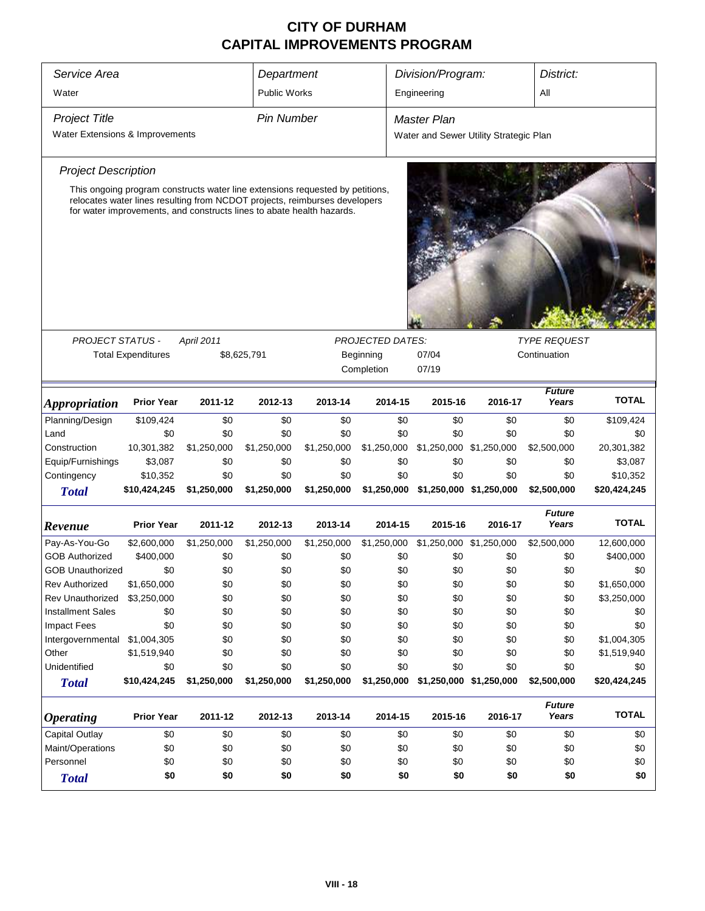| Service Area<br>Water                                                                                                                                                                                                                |                          |                                               |                    | Department<br><b>Public Works</b> |                                                    | Division/Program:<br>Engineering                             |         | District:<br>All       |                          |  |
|--------------------------------------------------------------------------------------------------------------------------------------------------------------------------------------------------------------------------------------|--------------------------|-----------------------------------------------|--------------------|-----------------------------------|----------------------------------------------------|--------------------------------------------------------------|---------|------------------------|--------------------------|--|
| <b>Project Title</b><br>Water Extensions & Improvements                                                                                                                                                                              |                          |                                               | <b>Pin Number</b>  |                                   |                                                    | <b>Master Plan</b><br>Water and Sewer Utility Strategic Plan |         |                        |                          |  |
| <b>Project Description</b>                                                                                                                                                                                                           |                          |                                               |                    |                                   |                                                    |                                                              |         |                        |                          |  |
| This ongoing program constructs water line extensions requested by petitions,<br>relocates water lines resulting from NCDOT projects, reimburses developers<br>for water improvements, and constructs lines to abate health hazards. |                          |                                               |                    |                                   |                                                    |                                                              |         |                        |                          |  |
|                                                                                                                                                                                                                                      |                          |                                               |                    |                                   |                                                    |                                                              |         |                        |                          |  |
| <b>PROJECT STATUS -</b><br><b>April 2011</b><br><b>Total Expenditures</b><br>\$8,625,791                                                                                                                                             |                          |                                               |                    |                                   | <b>PROJECTED DATES:</b><br>Beginning<br>Completion | <b>TYPE REQUEST</b><br>07/04<br>Continuation<br>07/19        |         |                        |                          |  |
| <i><b>Appropriation</b></i>                                                                                                                                                                                                          | <b>Prior Year</b>        | 2011-12                                       | 2012-13            | 2013-14                           | 2014-15                                            | 2015-16                                                      | 2016-17 | <b>Future</b><br>Years | <b>TOTAL</b>             |  |
| Planning/Design                                                                                                                                                                                                                      | \$109,424                | \$0                                           | \$0                | \$0                               | \$0                                                | \$0                                                          | \$0     | \$0                    | \$109,424                |  |
| Land                                                                                                                                                                                                                                 | \$0                      | \$0                                           | \$0                | \$0                               | \$0                                                | \$0                                                          | \$0     | \$0                    | \$0                      |  |
| Construction                                                                                                                                                                                                                         | 10,301,382               | \$1,250,000                                   | \$1,250,000        | \$1,250,000                       | \$1,250,000                                        | \$1,250,000 \$1,250,000                                      |         | \$2,500,000            | 20,301,382               |  |
| Equip/Furnishings                                                                                                                                                                                                                    | \$3,087                  | \$0                                           | \$0                | \$0                               | \$0                                                | \$0                                                          | \$0     | \$0                    | \$3,087                  |  |
| Contingency<br><b>Total</b>                                                                                                                                                                                                          | \$10,352<br>\$10,424,245 | \$0<br>\$1,250,000                            | \$0<br>\$1,250,000 | \$0<br>\$1,250,000                | \$0<br>\$1,250,000                                 | \$0<br>\$1,250,000 \$1,250,000                               | \$0     | \$0<br>\$2,500,000     | \$10,352<br>\$20,424,245 |  |
| Revenue                                                                                                                                                                                                                              | <b>Prior Year</b>        | 2011-12                                       | 2012-13            | 2013-14                           | 2014-15                                            | 2015-16                                                      | 2016-17 | <b>Future</b><br>Years | <b>TOTAL</b>             |  |
| Pay-As-You-Go                                                                                                                                                                                                                        | \$2,600,000              | \$1,250,000                                   | \$1,250,000        | \$1,250,000                       | \$1,250,000                                        | \$1,250,000 \$1,250,000                                      |         | \$2,500,000            | 12,600,000               |  |
| <b>GOB Authorized</b>                                                                                                                                                                                                                | \$400,000                | \$0                                           | \$0                | \$0                               | \$0                                                | \$0                                                          | \$0     | \$0                    | \$400,000                |  |
| <b>GOB Unauthorized</b>                                                                                                                                                                                                              | \$0                      | \$0                                           | \$0                | \$0                               | \$0                                                | \$0                                                          | \$0     | \$0                    | \$0                      |  |
| <b>Rev Authorized</b>                                                                                                                                                                                                                | \$1,650,000              | \$0                                           | \$0                | \$0                               | \$0                                                | \$0                                                          | \$0     | \$0                    | \$1,650,000              |  |
| Rev Unauthorized                                                                                                                                                                                                                     | \$3,250,000              | \$0                                           | \$0                | \$0                               | \$0                                                | \$0                                                          | \$0     | \$0                    | \$3,250,000              |  |
| <b>Installment Sales</b>                                                                                                                                                                                                             | \$0                      | \$0                                           | \$0                | \$0                               | \$0                                                | \$0                                                          | \$0     | \$0                    | \$0                      |  |
| <b>Impact Fees</b>                                                                                                                                                                                                                   | \$0                      | \$0                                           | \$0                | \$0                               | \$0                                                | \$0                                                          | \$0     | \$0                    | \$0                      |  |
| Intergovernmental                                                                                                                                                                                                                    | \$1,004,305              | \$0                                           | \$0                | \$0                               | \$0                                                | \$0                                                          | \$0     | \$0                    | \$1,004,305              |  |
| Other<br>Unidentified                                                                                                                                                                                                                | \$1,519,940              | \$0                                           | \$0                | \$0                               | \$0                                                | \$0                                                          | \$0     | \$0                    | \$1,519,940              |  |
| <b>Total</b>                                                                                                                                                                                                                         | \$0<br>\$10,424,245      | \$0<br>\$1,250,000                            | \$0<br>\$1,250,000 | \$0<br>\$1,250,000                | \$0<br>\$1,250,000                                 | \$0<br>\$1,250,000 \$1,250,000                               | \$0     | \$0<br>\$2,500,000     | \$0<br>\$20,424,245      |  |
| <i><b>Operating</b></i>                                                                                                                                                                                                              | <b>Prior Year</b>        | 2011-12                                       | 2012-13            | 2013-14                           | 2014-15                                            | 2015-16                                                      | 2016-17 | <b>Future</b><br>Years | <b>TOTAL</b>             |  |
| <b>Capital Outlay</b>                                                                                                                                                                                                                | \$0                      | \$0                                           | \$0                | \$0                               | \$0                                                | \$0                                                          | \$0     | \$0                    | \$0                      |  |
| Maint/Operations                                                                                                                                                                                                                     | \$0                      | \$0                                           | \$0                | \$0                               | \$0                                                | \$0                                                          | \$0     | \$0                    | \$0                      |  |
| Personnel                                                                                                                                                                                                                            | \$0                      | \$0                                           | \$0                | \$0                               | \$0                                                | \$0                                                          | \$0     | \$0                    | \$0                      |  |
| <b>Total</b>                                                                                                                                                                                                                         | \$0                      | \$0<br>\$0<br>\$0<br>\$0<br>\$0<br>\$0<br>\$0 |                    |                                   |                                                    |                                                              |         |                        |                          |  |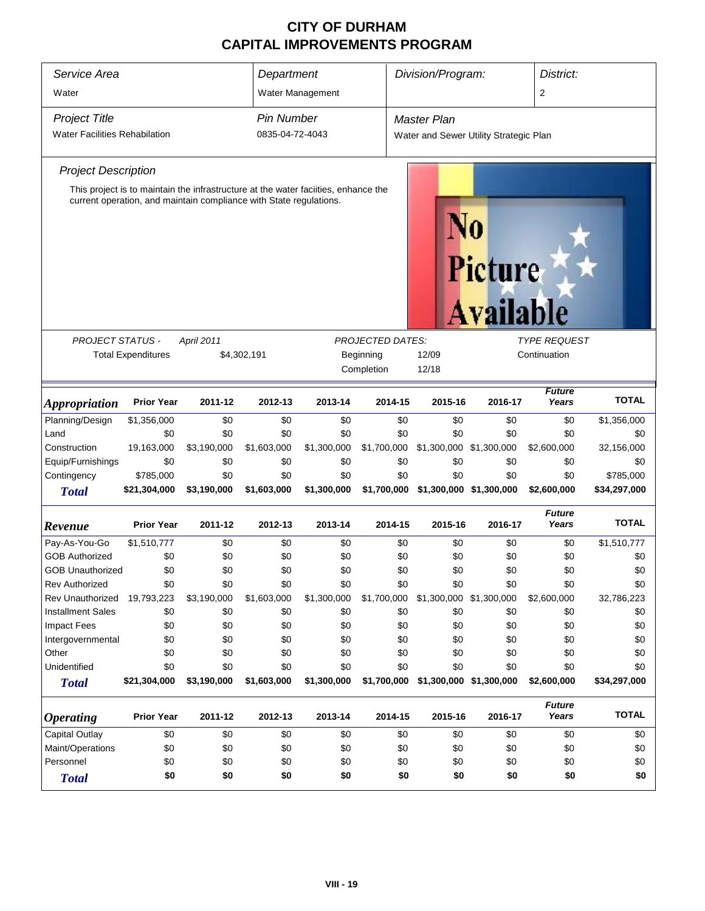| Service Area<br>Water                                                                                                                                                                   |                           |                     | Department        | Water Management |             | Division/Program:                      |                         | District:<br>2         |              |
|-----------------------------------------------------------------------------------------------------------------------------------------------------------------------------------------|---------------------------|---------------------|-------------------|------------------|-------------|----------------------------------------|-------------------------|------------------------|--------------|
| <b>Project Title</b>                                                                                                                                                                    |                           |                     | <b>Pin Number</b> |                  |             | <b>Master Plan</b>                     |                         |                        |              |
| <b>Water Facilities Rehabilation</b>                                                                                                                                                    |                           |                     | 0835-04-72-4043   |                  |             | Water and Sewer Utility Strategic Plan |                         |                        |              |
| <b>Project Description</b>                                                                                                                                                              |                           |                     |                   |                  |             |                                        |                         |                        |              |
| This project is to maintain the infrastructure at the water faciities, enhance the<br>current operation, and maintain compliance with State regulations.<br>Picture<br><b>Available</b> |                           |                     |                   |                  |             |                                        |                         |                        |              |
| <b>PROJECT STATUS -</b><br>April 2011<br><b>PROJECTED DATES:</b><br><b>TYPE REQUEST</b>                                                                                                 |                           |                     |                   |                  |             |                                        |                         |                        |              |
|                                                                                                                                                                                         | <b>Total Expenditures</b> |                     | \$4,302,191       |                  | Beginning   | 12/09                                  |                         | Continuation           |              |
|                                                                                                                                                                                         |                           | Completion<br>12/18 |                   |                  |             |                                        |                         |                        |              |
| <i><b>Appropriation</b></i>                                                                                                                                                             | <b>Prior Year</b>         | 2011-12             | 2012-13           | 2013-14          | 2014-15     | 2015-16                                | 2016-17                 | <b>Future</b><br>Years | <b>TOTAL</b> |
| Planning/Design                                                                                                                                                                         | \$1,356,000               | \$0                 | \$0               | \$0              | \$0         | \$0                                    | \$0                     | \$0                    | \$1,356,000  |
| Land                                                                                                                                                                                    | \$0                       | \$0                 | \$0               | \$0              | \$0         | \$0                                    | \$0                     | \$0                    | \$0          |
| Construction                                                                                                                                                                            | 19,163,000                | \$3,190,000         | \$1,603,000       | \$1,300,000      | \$1,700,000 | \$1,300,000 \$1,300,000                |                         | \$2,600,000            | 32,156,000   |
| Equip/Furnishings                                                                                                                                                                       | \$0                       | \$0                 | \$0               | \$0              | \$0         | \$0                                    | \$0                     | \$0                    | \$0          |
| Contingency                                                                                                                                                                             | \$785,000                 | \$0                 | \$0               | \$0              | \$0         | \$0                                    | \$0                     | \$0                    | \$785,000    |
| <b>Total</b>                                                                                                                                                                            | \$21,304,000              | \$3,190,000         | \$1,603,000       | \$1,300,000      | \$1,700,000 | \$1,300,000 \$1,300,000                |                         | \$2,600,000            | \$34,297,000 |
| Revenue                                                                                                                                                                                 | <b>Prior Year</b>         | 2011-12             | 2012-13           | 2013-14          | 2014-15     | 2015-16                                | 2016-17                 | <b>Future</b><br>Years | <b>TOTAL</b> |
| Pay-As-You-Go                                                                                                                                                                           | \$1,510,777               | \$0                 | \$0               | \$0              | \$0         | \$0                                    | \$0                     | \$0                    | \$1,510,777  |
| <b>GOB Authorized</b>                                                                                                                                                                   | \$0                       | \$0                 | \$0               | \$0              | \$0         | \$0                                    | \$0                     | \$0                    | \$0          |
| <b>GOB Unauthorized</b>                                                                                                                                                                 | \$0                       | \$0                 | \$0               | \$0              | \$0         | \$0                                    | \$0                     | \$0                    | \$0          |
| <b>Rev Authorized</b>                                                                                                                                                                   | \$0                       | \$0                 | \$0               | \$0              | \$0         | \$0                                    | \$0                     | \$0                    | \$0          |
| Rev Unauthorized                                                                                                                                                                        | 19,793,223                | \$3,190,000         | \$1,603,000       | \$1,300,000      | \$1,700,000 | \$1,300,000 \$1,300,000                |                         | \$2,600,000            | 32,786,223   |
| <b>Installment Sales</b>                                                                                                                                                                | \$0                       | \$0                 | \$0               | \$0              | \$0         | \$0                                    | \$0                     | \$0                    | \$0          |
| <b>Impact Fees</b>                                                                                                                                                                      | \$0                       | \$0                 | \$0               | \$0              | \$0         | \$0                                    | \$0                     | \$0                    | \$0          |
| Intergovernmental                                                                                                                                                                       | \$0                       | \$0                 | \$0               | \$0              | \$0         | \$0                                    | \$0                     | \$0                    | \$0          |
| Other                                                                                                                                                                                   | \$0                       | \$0                 | \$0               | \$0              | \$0         | \$0                                    | \$0                     | \$0                    | \$0          |
| Unidentified                                                                                                                                                                            | \$0                       | \$0                 | \$0               | \$0              | \$0         | \$0                                    | \$0                     | \$0                    | \$0          |
| <b>Total</b>                                                                                                                                                                            | \$21,304,000              | \$3,190,000         | \$1,603,000       | \$1,300,000      | \$1,700,000 |                                        | \$1,300,000 \$1,300,000 | \$2,600,000            | \$34,297,000 |
| <b>Operating</b>                                                                                                                                                                        | <b>Prior Year</b>         | 2011-12             | 2012-13           | 2013-14          | 2014-15     | 2015-16                                | 2016-17                 | <b>Future</b><br>Years | <b>TOTAL</b> |
| <b>Capital Outlay</b>                                                                                                                                                                   | \$0                       | \$0                 | \$0               | \$0              | \$0         | \$0                                    | \$0                     | \$0                    | \$0          |
| Maint/Operations                                                                                                                                                                        | \$0                       | \$0                 | \$0               | \$0              | \$0         | \$0                                    | \$0                     | \$0                    | \$0          |
| Personnel                                                                                                                                                                               | \$0                       | \$0                 | \$0               | \$0              | \$0         | \$0                                    | \$0                     | \$0                    | \$0          |
| <b>Total</b>                                                                                                                                                                            | \$0                       | \$0                 | \$0               | \$0              | \$0         | \$0                                    | \$0                     | \$0                    | \$0          |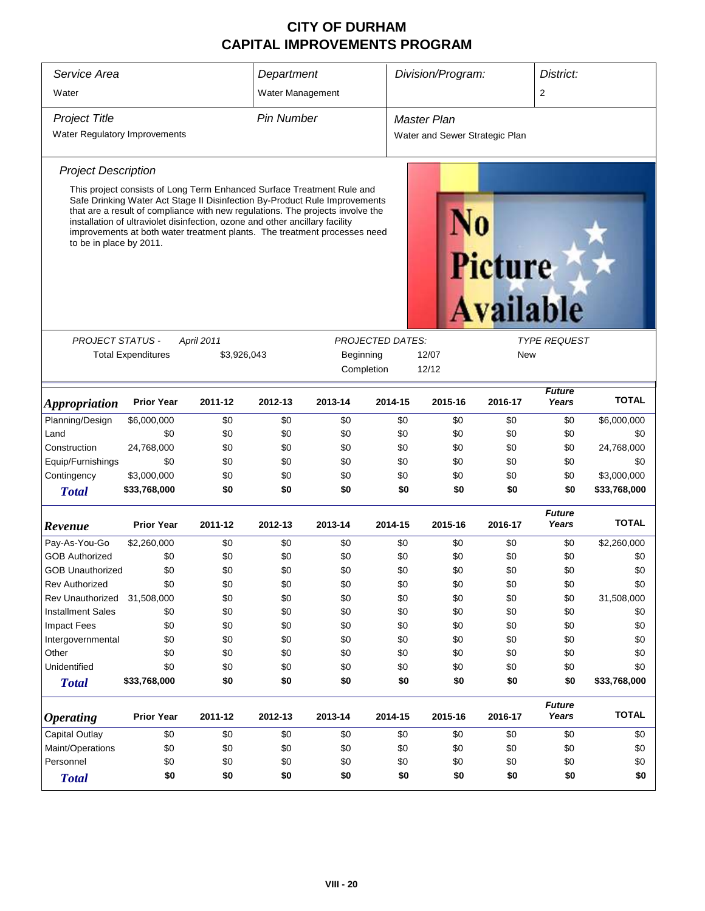| Service Area<br>Water         |                                                                                                                                                                                                                                                                                                                                                                                                     | Department<br>Water Management |                   | Division/Program: |         |                                                | District:<br>$\overline{2}$ |                        |              |  |
|-------------------------------|-----------------------------------------------------------------------------------------------------------------------------------------------------------------------------------------------------------------------------------------------------------------------------------------------------------------------------------------------------------------------------------------------------|--------------------------------|-------------------|-------------------|---------|------------------------------------------------|-----------------------------|------------------------|--------------|--|
| <b>Project Title</b>          |                                                                                                                                                                                                                                                                                                                                                                                                     |                                | <b>Pin Number</b> |                   |         | Master Plan                                    |                             |                        |              |  |
| Water Regulatory Improvements |                                                                                                                                                                                                                                                                                                                                                                                                     |                                |                   |                   |         | Water and Sewer Strategic Plan                 |                             |                        |              |  |
| <b>Project Description</b>    |                                                                                                                                                                                                                                                                                                                                                                                                     |                                |                   |                   |         |                                                |                             |                        |              |  |
| to be in place by 2011.       | This project consists of Long Term Enhanced Surface Treatment Rule and<br>Safe Drinking Water Act Stage II Disinfection By-Product Rule Improvements<br>that are a result of compliance with new regulations. The projects involve the<br>installation of ultraviolet disinfection, ozone and other ancillary facility<br>improvements at both water treatment plants. The treatment processes need |                                |                   |                   |         | Picture<br><b>Available</b>                    |                             |                        |              |  |
| <b>PROJECT STATUS -</b>       |                                                                                                                                                                                                                                                                                                                                                                                                     | April 2011                     |                   |                   |         | <b>TYPE REQUEST</b><br><b>PROJECTED DATES:</b> |                             |                        |              |  |
|                               | <b>Total Expenditures</b>                                                                                                                                                                                                                                                                                                                                                                           | \$3,926,043                    |                   | Beginning         |         | 12/07                                          | New                         |                        |              |  |
|                               |                                                                                                                                                                                                                                                                                                                                                                                                     |                                |                   | Completion        |         | 12/12                                          |                             |                        |              |  |
| <i><b>Appropriation</b></i>   | <b>Prior Year</b>                                                                                                                                                                                                                                                                                                                                                                                   | 2011-12                        | 2012-13           | 2013-14           | 2014-15 | 2015-16                                        | 2016-17                     | <b>Future</b><br>Years | <b>TOTAL</b> |  |
| Planning/Design               | \$6,000,000                                                                                                                                                                                                                                                                                                                                                                                         | \$0                            | \$0               | \$0               | \$0     | \$0                                            | \$0                         | \$0                    | \$6,000,000  |  |
| Land                          | \$0                                                                                                                                                                                                                                                                                                                                                                                                 | \$0                            | \$0               | \$0               | \$0     | \$0                                            | \$0                         | \$0                    | \$0          |  |
| Construction                  | 24,768,000                                                                                                                                                                                                                                                                                                                                                                                          | \$0                            | \$0               | \$0               | \$0     | \$0                                            | \$0                         | \$0                    | 24,768,000   |  |
| Equip/Furnishings             | \$0                                                                                                                                                                                                                                                                                                                                                                                                 | \$0                            | \$0               | \$0               | \$0     | \$0                                            | \$0                         | \$0                    | \$0          |  |
| Contingency                   | \$3,000,000                                                                                                                                                                                                                                                                                                                                                                                         | \$0                            | \$0               | \$0               | \$0     | \$0                                            | \$0                         | \$0                    | \$3,000,000  |  |
| <b>Total</b>                  | \$33,768,000                                                                                                                                                                                                                                                                                                                                                                                        | \$0                            | \$0               | \$0               | \$0     | \$0                                            | \$0                         | \$0                    | \$33,768,000 |  |
| Revenue                       | <b>Prior Year</b>                                                                                                                                                                                                                                                                                                                                                                                   | 2011-12                        | 2012-13           | 2013-14           | 2014-15 | 2015-16                                        | 2016-17                     | <b>Future</b><br>Years | <b>TOTAL</b> |  |
| Pay-As-You-Go                 | \$2,260,000                                                                                                                                                                                                                                                                                                                                                                                         | \$0                            | \$0               | \$0               | \$0     | \$0                                            | \$0                         | \$0                    | \$2,260,000  |  |
| <b>GOB Authorized</b>         | \$0                                                                                                                                                                                                                                                                                                                                                                                                 | \$0                            | \$0               | \$0               | \$0     | \$0                                            | \$0                         | \$0                    | \$0          |  |
| <b>GOB Unauthorized</b>       | \$0                                                                                                                                                                                                                                                                                                                                                                                                 | \$0                            | \$0               | \$0               | \$0     | \$0                                            | \$0                         | \$0                    | \$0          |  |
| <b>Rev Authorized</b>         | \$0                                                                                                                                                                                                                                                                                                                                                                                                 | \$0                            | \$0               | \$0               | \$0     | \$0                                            | \$0                         | \$0                    | \$0          |  |
| <b>Rev Unauthorized</b>       | 31,508,000                                                                                                                                                                                                                                                                                                                                                                                          | \$0                            | \$0               | \$0               | \$0     | \$0                                            | \$0                         | \$0                    | 31,508,000   |  |
| <b>Installment Sales</b>      | \$0                                                                                                                                                                                                                                                                                                                                                                                                 | \$0                            | \$0               | \$0               | \$0     | \$0                                            | \$0                         | \$0                    | \$0          |  |
| <b>Impact Fees</b>            | \$0                                                                                                                                                                                                                                                                                                                                                                                                 | \$0                            | \$0               | \$0               | \$0     | \$0                                            | \$0                         | \$0                    | \$0          |  |
| Intergovernmental             | \$0                                                                                                                                                                                                                                                                                                                                                                                                 | \$0                            | \$0               | \$0               | \$0     | \$0                                            | \$0                         | \$0                    | \$0          |  |
| Other                         | \$0                                                                                                                                                                                                                                                                                                                                                                                                 | \$0                            | \$0               | \$0               | \$0     | \$0                                            | \$0                         | \$0                    | \$0          |  |
| Unidentified                  | \$0                                                                                                                                                                                                                                                                                                                                                                                                 | \$0                            | \$0               | \$0               | \$0     | \$0                                            | \$0                         | \$0                    | \$0          |  |
| <b>Total</b>                  | \$33,768,000                                                                                                                                                                                                                                                                                                                                                                                        | \$0                            | \$0               | \$0               | \$0     | \$0                                            | \$0                         | \$0                    | \$33,768,000 |  |
| <b>Operating</b>              | <b>Prior Year</b>                                                                                                                                                                                                                                                                                                                                                                                   | 2011-12                        | 2012-13           | 2013-14           | 2014-15 | 2015-16                                        | 2016-17                     | <b>Future</b><br>Years | <b>TOTAL</b> |  |
| Capital Outlay                | \$0                                                                                                                                                                                                                                                                                                                                                                                                 | \$0                            | \$0               | \$0               | \$0     | \$0                                            | \$0                         | \$0                    | \$0          |  |
| Maint/Operations              | \$0                                                                                                                                                                                                                                                                                                                                                                                                 | \$0                            | \$0               | \$0               | \$0     | \$0                                            | \$0                         | \$0                    | \$0          |  |
| Personnel                     | \$0                                                                                                                                                                                                                                                                                                                                                                                                 | \$0                            | \$0               | \$0               | \$0     | \$0                                            | \$0                         | \$0                    | \$0          |  |
| <b>Total</b>                  | \$0                                                                                                                                                                                                                                                                                                                                                                                                 | \$0                            | \$0               | \$0               | \$0     | \$0                                            | \$0                         | \$0                    | \$0          |  |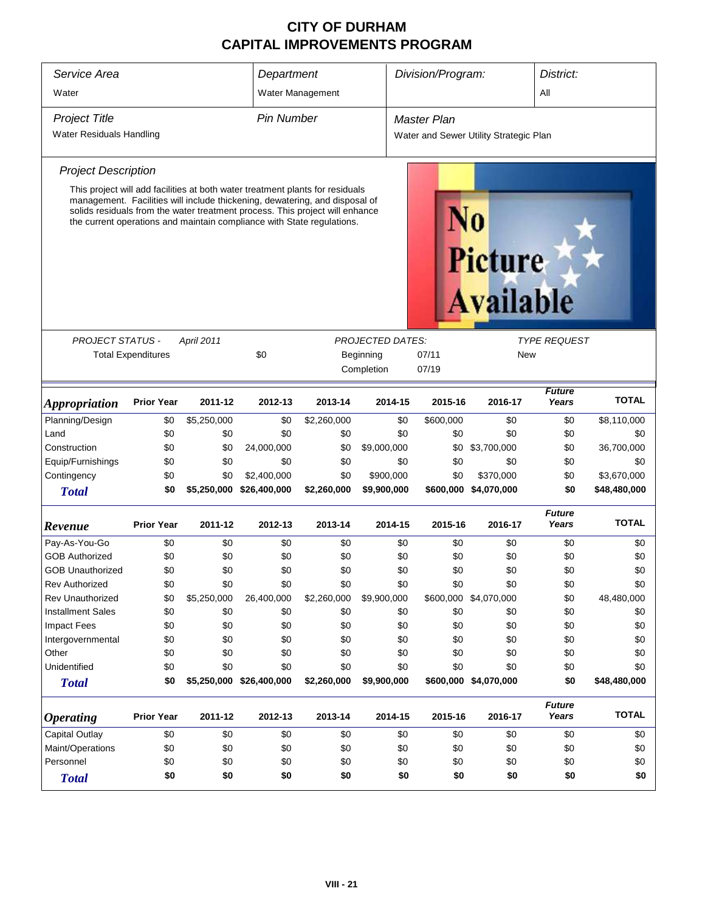| Service Area                |                           |             | Department                                                                                                                                                                                                                            |                         |             | Division/Program:  |                                        |                        | District:    |  |
|-----------------------------|---------------------------|-------------|---------------------------------------------------------------------------------------------------------------------------------------------------------------------------------------------------------------------------------------|-------------------------|-------------|--------------------|----------------------------------------|------------------------|--------------|--|
| Water                       |                           |             |                                                                                                                                                                                                                                       | Water Management        |             |                    |                                        | All                    |              |  |
| <b>Project Title</b>        |                           |             | <b>Pin Number</b>                                                                                                                                                                                                                     |                         |             | <b>Master Plan</b> |                                        |                        |              |  |
| Water Residuals Handling    |                           |             |                                                                                                                                                                                                                                       |                         |             |                    | Water and Sewer Utility Strategic Plan |                        |              |  |
|                             |                           |             |                                                                                                                                                                                                                                       |                         |             |                    |                                        |                        |              |  |
| <b>Project Description</b>  |                           |             |                                                                                                                                                                                                                                       |                         |             |                    |                                        |                        |              |  |
|                             |                           |             | This project will add facilities at both water treatment plants for residuals                                                                                                                                                         |                         |             |                    |                                        |                        |              |  |
|                             |                           |             | management. Facilities will include thickening, dewatering, and disposal of<br>solids residuals from the water treatment process. This project will enhance<br>the current operations and maintain compliance with State regulations. |                         |             |                    |                                        |                        |              |  |
|                             |                           |             |                                                                                                                                                                                                                                       |                         |             |                    | <b>Picture</b><br><b>Available</b>     |                        |              |  |
|                             |                           |             |                                                                                                                                                                                                                                       |                         |             |                    |                                        |                        |              |  |
| <b>PROJECT STATUS -</b>     |                           | April 2011  |                                                                                                                                                                                                                                       | <b>PROJECTED DATES:</b> |             |                    | <b>TYPE REQUEST</b>                    |                        |              |  |
|                             | <b>Total Expenditures</b> |             | \$0                                                                                                                                                                                                                                   |                         | Beginning   | 07/11              | New                                    |                        |              |  |
|                             |                           |             |                                                                                                                                                                                                                                       |                         | Completion  | 07/19              |                                        |                        |              |  |
|                             |                           |             |                                                                                                                                                                                                                                       |                         |             |                    |                                        | <b>Future</b>          |              |  |
| <i><b>Appropriation</b></i> | <b>Prior Year</b>         | 2011-12     | 2012-13                                                                                                                                                                                                                               | 2013-14                 | 2014-15     | 2015-16            | 2016-17                                | Years                  | <b>TOTAL</b> |  |
| Planning/Design             | \$0                       | \$5,250,000 | \$0                                                                                                                                                                                                                                   | \$2,260,000             | \$0         | \$600,000          | \$0                                    | \$0                    | \$8,110,000  |  |
| Land                        | \$0                       | \$0         | \$0                                                                                                                                                                                                                                   | \$0                     | \$0         | \$0                | \$0                                    | \$0                    | \$0          |  |
| Construction                | \$0                       | \$0         | 24,000,000                                                                                                                                                                                                                            | \$0                     | \$9,000,000 | \$0                | \$3,700,000                            | \$0                    | 36,700,000   |  |
| Equip/Furnishings           | \$0                       | \$0         | \$0                                                                                                                                                                                                                                   | \$0                     | \$0         | \$0                | \$0                                    | \$0                    | \$0          |  |
| Contingency                 | \$0                       | \$0         | \$2,400,000                                                                                                                                                                                                                           | \$0                     | \$900,000   | \$0                | \$370,000                              | \$0                    | \$3,670,000  |  |
| <b>Total</b>                | \$0                       | \$5,250,000 | \$26,400,000                                                                                                                                                                                                                          | \$2,260,000             | \$9,900,000 | \$600,000          | \$4,070,000                            | \$0                    | \$48,480,000 |  |
| Revenue                     | <b>Prior Year</b>         | 2011-12     | 2012-13                                                                                                                                                                                                                               | 2013-14                 | 2014-15     | 2015-16            | 2016-17                                | <b>Future</b><br>Years | <b>TOTAL</b> |  |
| Pay-As-You-Go               | \$0                       | \$0         | \$0                                                                                                                                                                                                                                   | \$0                     | \$0         | \$0                | \$0                                    | \$0                    | \$0          |  |
| <b>GOB Authorized</b>       | \$0                       | \$0         | \$0                                                                                                                                                                                                                                   | \$0                     | \$0         | \$0                | \$0                                    | \$0                    | \$0          |  |
| <b>GOB Unauthorized</b>     | \$0                       | \$0         | \$0                                                                                                                                                                                                                                   | \$0                     | \$0         | \$0                | \$0                                    | \$0                    | \$0          |  |
| <b>Rev Authorized</b>       | \$0                       | \$0         | \$0                                                                                                                                                                                                                                   | \$0                     | \$0         | \$0                | \$0                                    | \$0                    | \$0          |  |
| <b>Rev Unauthorized</b>     | \$0                       | \$5,250,000 | 26,400,000                                                                                                                                                                                                                            | \$2,260,000             | \$9,900,000 |                    | \$600,000 \$4,070,000                  | \$0                    | 48,480,000   |  |
| <b>Installment Sales</b>    | \$0                       | \$0         | \$0                                                                                                                                                                                                                                   | \$0                     | \$0         | \$0                | \$0                                    | \$0                    | \$0          |  |
| <b>Impact Fees</b>          | \$0                       | \$0         | \$0                                                                                                                                                                                                                                   | \$0                     | \$0         | \$0                | \$0                                    | \$0                    | \$0          |  |
| Intergovernmental           | \$0                       | \$0         | \$0                                                                                                                                                                                                                                   | \$0                     | \$0         | \$0                | \$0                                    | \$0                    | \$0          |  |
| Other                       | \$0                       | \$0         | \$0                                                                                                                                                                                                                                   | \$0                     | \$0         | \$0                | \$0                                    | \$0                    | \$0          |  |
| Unidentified                | \$0                       | \$0         | \$0                                                                                                                                                                                                                                   | \$0                     | \$0         | \$0                | \$0                                    | \$0                    | \$0          |  |
| <b>Total</b>                | \$0                       |             | \$5,250,000 \$26,400,000                                                                                                                                                                                                              | \$2,260,000             | \$9,900,000 |                    | \$600,000 \$4,070,000                  | \$0                    | \$48,480,000 |  |
| <b>Operating</b>            | <b>Prior Year</b>         | 2011-12     | 2012-13                                                                                                                                                                                                                               | 2013-14                 | 2014-15     | 2015-16            | 2016-17                                | <b>Future</b><br>Years | <b>TOTAL</b> |  |
| <b>Capital Outlay</b>       | \$0                       | \$0         | \$0                                                                                                                                                                                                                                   | \$0                     | \$0         | \$0                | \$0                                    | \$0                    | \$0          |  |
| Maint/Operations            | \$0                       | \$0         | \$0                                                                                                                                                                                                                                   | \$0                     | \$0         | \$0                | \$0                                    | \$0                    | \$0          |  |
| Personnel                   | \$0                       | \$0         | \$0                                                                                                                                                                                                                                   | \$0                     | \$0         | \$0                | \$0                                    | \$0                    | \$0          |  |
| <b>Total</b>                | \$0                       | \$0         | \$0                                                                                                                                                                                                                                   | \$0                     | \$0         | \$0                | \$0                                    | \$0                    | \$0          |  |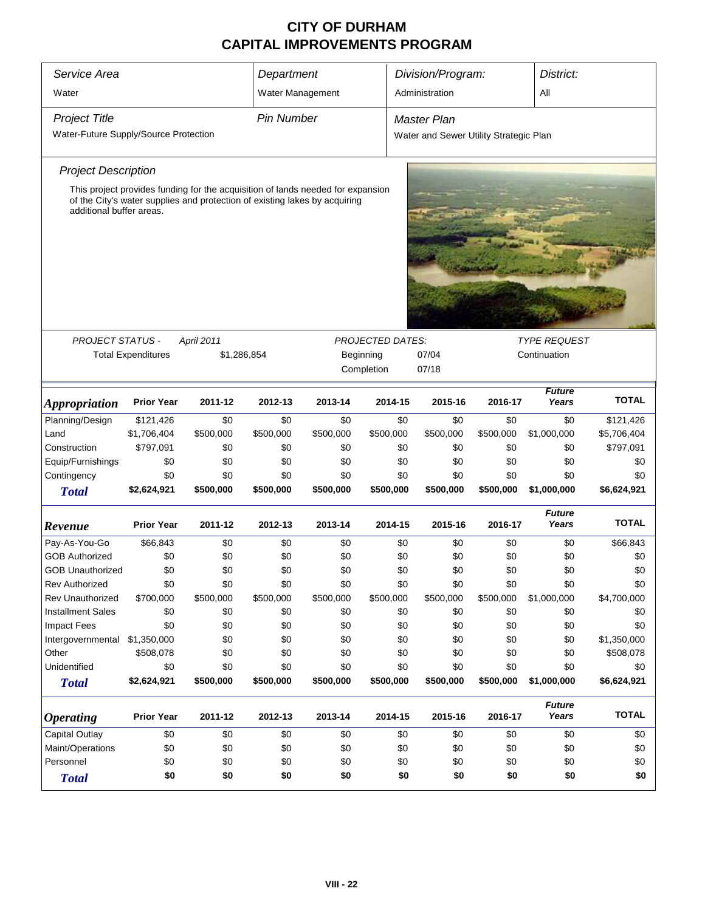| Service Area                                                                            |                                               |                                                                                 |                   | Department |            |                                        | Division/Program: | District:              |              |  |
|-----------------------------------------------------------------------------------------|-----------------------------------------------|---------------------------------------------------------------------------------|-------------------|------------|------------|----------------------------------------|-------------------|------------------------|--------------|--|
| Water                                                                                   |                                               |                                                                                 | Water Management  |            |            | Administration                         |                   | All                    |              |  |
|                                                                                         |                                               |                                                                                 |                   |            |            |                                        |                   |                        |              |  |
| <b>Project Title</b>                                                                    |                                               |                                                                                 | <b>Pin Number</b> |            |            | <b>Master Plan</b>                     |                   |                        |              |  |
| Water-Future Supply/Source Protection                                                   |                                               |                                                                                 |                   |            |            | Water and Sewer Utility Strategic Plan |                   |                        |              |  |
| <b>Project Description</b>                                                              |                                               |                                                                                 |                   |            |            |                                        |                   |                        |              |  |
|                                                                                         |                                               | This project provides funding for the acquisition of lands needed for expansion |                   |            |            |                                        |                   |                        |              |  |
| additional buffer areas.                                                                |                                               | of the City's water supplies and protection of existing lakes by acquiring      |                   |            |            |                                        |                   |                        |              |  |
|                                                                                         |                                               |                                                                                 |                   |            |            |                                        |                   |                        |              |  |
|                                                                                         |                                               |                                                                                 |                   |            |            |                                        |                   |                        |              |  |
|                                                                                         |                                               |                                                                                 |                   |            |            |                                        |                   |                        |              |  |
|                                                                                         |                                               |                                                                                 |                   |            |            |                                        |                   |                        |              |  |
|                                                                                         |                                               |                                                                                 |                   |            |            |                                        |                   |                        |              |  |
| <b>PROJECT STATUS -</b><br>April 2011<br><b>PROJECTED DATES:</b><br><b>TYPE REQUEST</b> |                                               |                                                                                 |                   |            |            |                                        |                   |                        |              |  |
| <b>Total Expenditures</b><br>\$1,286,854<br>07/04<br>Continuation<br>Beginning          |                                               |                                                                                 |                   |            |            |                                        |                   |                        |              |  |
|                                                                                         |                                               |                                                                                 |                   |            | Completion | 07/18                                  |                   |                        |              |  |
| <i><b>Appropriation</b></i>                                                             | <b>Prior Year</b>                             | 2011-12                                                                         | 2012-13           | 2013-14    | 2014-15    | 2015-16                                | 2016-17           | <b>Future</b><br>Years | <b>TOTAL</b> |  |
| Planning/Design                                                                         | \$121,426                                     | \$0                                                                             | \$0               | \$0        | \$0        | \$0                                    | \$0               | \$0                    | \$121,426    |  |
| Land                                                                                    | \$1,706,404                                   | \$500,000                                                                       | \$500,000         | \$500,000  | \$500,000  | \$500,000                              | \$500,000         | \$1,000,000            | \$5,706,404  |  |
| Construction                                                                            | \$797,091                                     | \$0                                                                             | \$0               | \$0        | \$0        | \$0                                    | \$0               | \$0                    | \$797,091    |  |
| Equip/Furnishings                                                                       | \$0                                           | \$0                                                                             | \$0               | \$0        | \$0        | \$0                                    | \$0               | \$0                    | \$0          |  |
| Contingency                                                                             | \$0                                           | \$0                                                                             | \$0               | \$0        | \$0        | \$0                                    | \$0               | \$0                    | \$0          |  |
| <b>Total</b>                                                                            | \$2,624,921                                   | \$500,000                                                                       | \$500,000         | \$500,000  | \$500,000  | \$500,000                              | \$500,000         | \$1,000,000            | \$6,624,921  |  |
| Revenue                                                                                 | <b>Prior Year</b>                             | 2011-12                                                                         | 2012-13           | 2013-14    | 2014-15    | 2015-16                                | 2016-17           | <b>Future</b><br>Years | <b>TOTAL</b> |  |
| Pay-As-You-Go                                                                           | \$66,843                                      | \$0                                                                             | \$0               | \$0        | \$0        | \$0                                    | \$0               | \$0                    | \$66,843     |  |
| <b>GOB Authorized</b>                                                                   | \$0                                           | \$0                                                                             | \$0               | \$0        | \$0        | \$0                                    | \$0               | \$0                    | \$0          |  |
| <b>GOB Unauthorized</b>                                                                 | \$0                                           | \$0                                                                             | \$0               | \$0        | \$0        | \$0                                    | \$0               | \$0                    | \$0          |  |
| <b>Rev Authorized</b>                                                                   | \$0                                           | \$0                                                                             | \$0               | \$0        | \$0        | \$0                                    | \$0               | \$0                    | \$0          |  |
| <b>Rev Unauthorized</b>                                                                 | \$700,000                                     | \$500,000                                                                       | \$500,000         | \$500,000  | \$500,000  | \$500,000                              | \$500,000         | \$1,000,000            | \$4,700,000  |  |
| <b>Installment Sales</b>                                                                | \$0                                           | \$0                                                                             | \$0               | \$0        | \$0        | \$0                                    | \$0               | \$0                    | \$0          |  |
| Impact Fees                                                                             | \$0                                           | \$0                                                                             | \$0               | \$0        | \$0        | \$0                                    | \$0               | \$0                    | \$0          |  |
| Intergovernmental                                                                       | \$1,350,000                                   | \$0                                                                             | \$0               | \$0        | \$0        | \$0                                    | \$0               | \$0                    | \$1,350,000  |  |
| Other                                                                                   | \$508,078                                     | \$0                                                                             | \$0               | \$0        | \$0        | \$0                                    | \$0               | \$0                    | \$508,078    |  |
| Unidentified                                                                            | \$0                                           | \$0                                                                             | \$0               | \$0        | \$0        | \$0                                    | \$0               | \$0                    | \$0          |  |
| <b>Total</b>                                                                            | \$2,624,921                                   | \$500,000                                                                       | \$500,000         | \$500,000  | \$500,000  | \$500,000                              | \$500,000         | \$1,000,000            | \$6,624,921  |  |
| <b>Operating</b>                                                                        | <b>Prior Year</b>                             | 2011-12                                                                         | 2012-13           | 2013-14    | 2014-15    | 2015-16                                | 2016-17           | <b>Future</b><br>Years | <b>TOTAL</b> |  |
| <b>Capital Outlay</b>                                                                   | \$0                                           | \$0                                                                             | \$0               | \$0        | \$0        | \$0                                    | \$0               | \$0                    | \$0          |  |
| Maint/Operations                                                                        | \$0                                           | \$0                                                                             | \$0               | \$0        | \$0        | \$0                                    | \$0               | \$0                    | \$0          |  |
| Personnel                                                                               | \$0                                           | \$0                                                                             | \$0               | \$0        | \$0        | \$0                                    | \$0               | \$0                    | \$0          |  |
| <b>Total</b>                                                                            |                                               |                                                                                 |                   |            |            |                                        | \$0               |                        | \$0          |  |
|                                                                                         | \$0<br>\$0<br>\$0<br>\$0<br>\$0<br>\$0<br>\$0 |                                                                                 |                   |            |            |                                        |                   |                        |              |  |